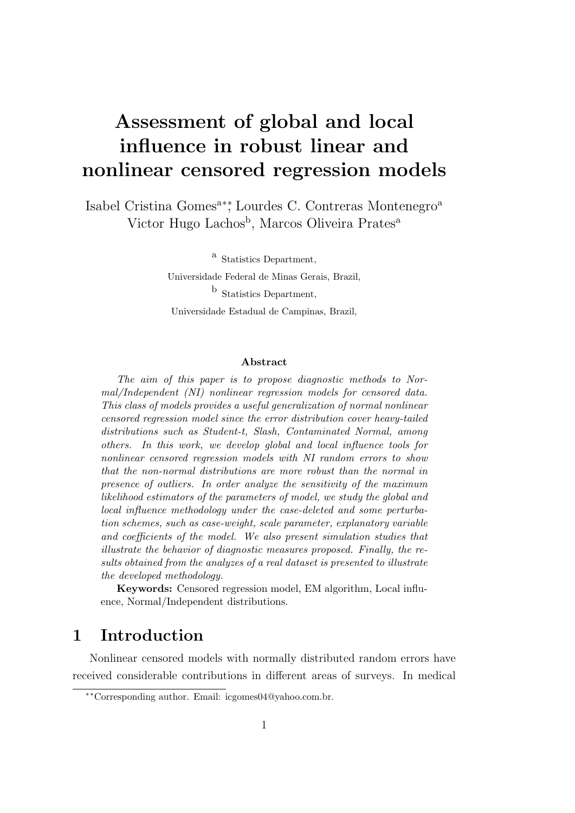# Assessment of global and local influence in robust linear and nonlinear censored regression models

Isabel Cristina Gomes<sup>a∗</sup><sup>\*</sup>, Lourdes C. Contreras Montenegro<sup>a</sup> Victor Hugo Lachos<sup>b</sup>, Marcos Oliveira Prates<sup>a</sup>

> a Statistics Department, Universidade Federal de Minas Gerais, Brazil, **b** Statistics Department, Universidade Estadual de Campinas, Brazil,

#### Abstract

The aim of this paper is to propose diagnostic methods to Normal/Independent (NI) nonlinear regression models for censored data. This class of models provides a useful generalization of normal nonlinear censored regression model since the error distribution cover heavy-tailed distributions such as Student-t, Slash, Contaminated Normal, among others. In this work, we develop global and local influence tools for nonlinear censored regression models with NI random errors to show that the non-normal distributions are more robust than the normal in presence of outliers. In order analyze the sensitivity of the maximum likelihood estimators of the parameters of model, we study the global and local influence methodology under the case-deleted and some perturbation schemes, such as case-weight, scale parameter, explanatory variable and coefficients of the model. We also present simulation studies that illustrate the behavior of diagnostic measures proposed. Finally, the results obtained from the analyzes of a real dataset is presented to illustrate the developed methodology.

Keywords: Censored regression model, EM algorithm, Local influence, Normal/Independent distributions.

## 1 Introduction

Nonlinear censored models with normally distributed random errors have received considerable contributions in different areas of surveys. In medical

<sup>∗∗</sup>Corresponding author. Email: icgomes04@yahoo.com.br.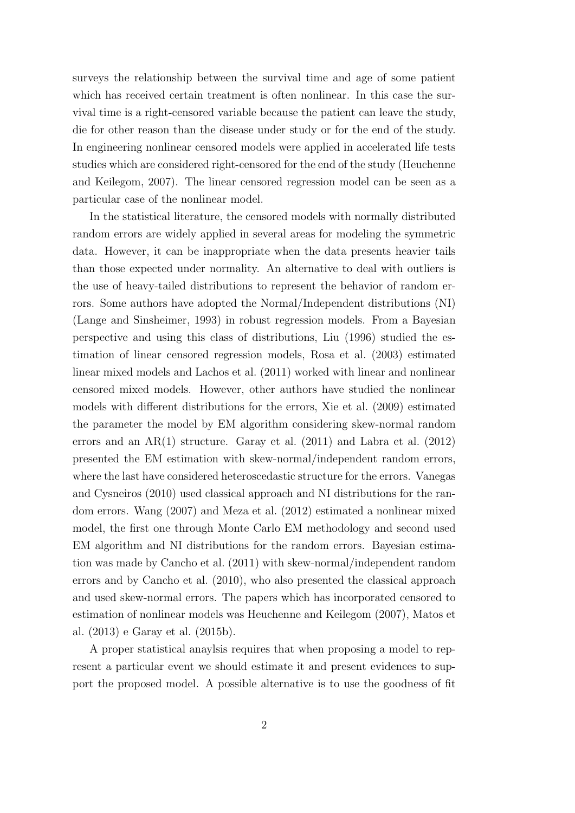surveys the relationship between the survival time and age of some patient which has received certain treatment is often nonlinear. In this case the survival time is a right-censored variable because the patient can leave the study, die for other reason than the disease under study or for the end of the study. In engineering nonlinear censored models were applied in accelerated life tests studies which are considered right-censored for the end of the study (Heuchenne and Keilegom, 2007). The linear censored regression model can be seen as a particular case of the nonlinear model.

In the statistical literature, the censored models with normally distributed random errors are widely applied in several areas for modeling the symmetric data. However, it can be inappropriate when the data presents heavier tails than those expected under normality. An alternative to deal with outliers is the use of heavy-tailed distributions to represent the behavior of random errors. Some authors have adopted the Normal/Independent distributions (NI) (Lange and Sinsheimer, 1993) in robust regression models. From a Bayesian perspective and using this class of distributions, Liu (1996) studied the estimation of linear censored regression models, Rosa et al. (2003) estimated linear mixed models and Lachos et al. (2011) worked with linear and nonlinear censored mixed models. However, other authors have studied the nonlinear models with different distributions for the errors, Xie et al. (2009) estimated the parameter the model by EM algorithm considering skew-normal random errors and an AR(1) structure. Garay et al. (2011) and Labra et al. (2012) presented the EM estimation with skew-normal/independent random errors, where the last have considered heteroscedastic structure for the errors. Vanegas and Cysneiros (2010) used classical approach and NI distributions for the random errors. Wang (2007) and Meza et al. (2012) estimated a nonlinear mixed model, the first one through Monte Carlo EM methodology and second used EM algorithm and NI distributions for the random errors. Bayesian estimation was made by Cancho et al. (2011) with skew-normal/independent random errors and by Cancho et al. (2010), who also presented the classical approach and used skew-normal errors. The papers which has incorporated censored to estimation of nonlinear models was Heuchenne and Keilegom (2007), Matos et al. (2013) e Garay et al. (2015b).

A proper statistical anaylsis requires that when proposing a model to represent a particular event we should estimate it and present evidences to support the proposed model. A possible alternative is to use the goodness of fit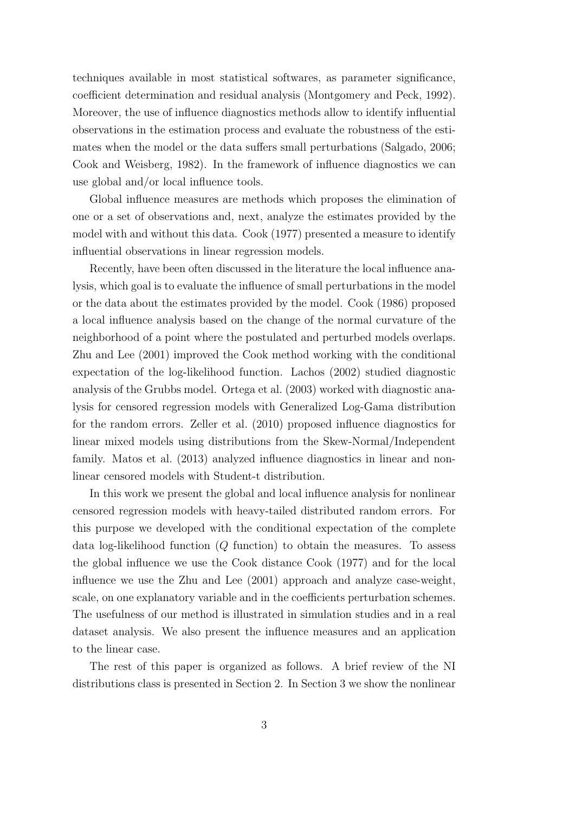techniques available in most statistical softwares, as parameter significance, coefficient determination and residual analysis (Montgomery and Peck, 1992). Moreover, the use of influence diagnostics methods allow to identify influential observations in the estimation process and evaluate the robustness of the estimates when the model or the data suffers small perturbations (Salgado, 2006; Cook and Weisberg, 1982). In the framework of influence diagnostics we can use global and/or local influence tools.

Global influence measures are methods which proposes the elimination of one or a set of observations and, next, analyze the estimates provided by the model with and without this data. Cook (1977) presented a measure to identify influential observations in linear regression models.

Recently, have been often discussed in the literature the local influence analysis, which goal is to evaluate the influence of small perturbations in the model or the data about the estimates provided by the model. Cook (1986) proposed a local influence analysis based on the change of the normal curvature of the neighborhood of a point where the postulated and perturbed models overlaps. Zhu and Lee (2001) improved the Cook method working with the conditional expectation of the log-likelihood function. Lachos (2002) studied diagnostic analysis of the Grubbs model. Ortega et al. (2003) worked with diagnostic analysis for censored regression models with Generalized Log-Gama distribution for the random errors. Zeller et al. (2010) proposed influence diagnostics for linear mixed models using distributions from the Skew-Normal/Independent family. Matos et al. (2013) analyzed influence diagnostics in linear and nonlinear censored models with Student-t distribution.

In this work we present the global and local influence analysis for nonlinear censored regression models with heavy-tailed distributed random errors. For this purpose we developed with the conditional expectation of the complete data log-likelihood function  $(Q \text{ function})$  to obtain the measures. To assess the global influence we use the Cook distance Cook (1977) and for the local influence we use the Zhu and Lee (2001) approach and analyze case-weight, scale, on one explanatory variable and in the coefficients perturbation schemes. The usefulness of our method is illustrated in simulation studies and in a real dataset analysis. We also present the influence measures and an application to the linear case.

The rest of this paper is organized as follows. A brief review of the NI distributions class is presented in Section 2. In Section 3 we show the nonlinear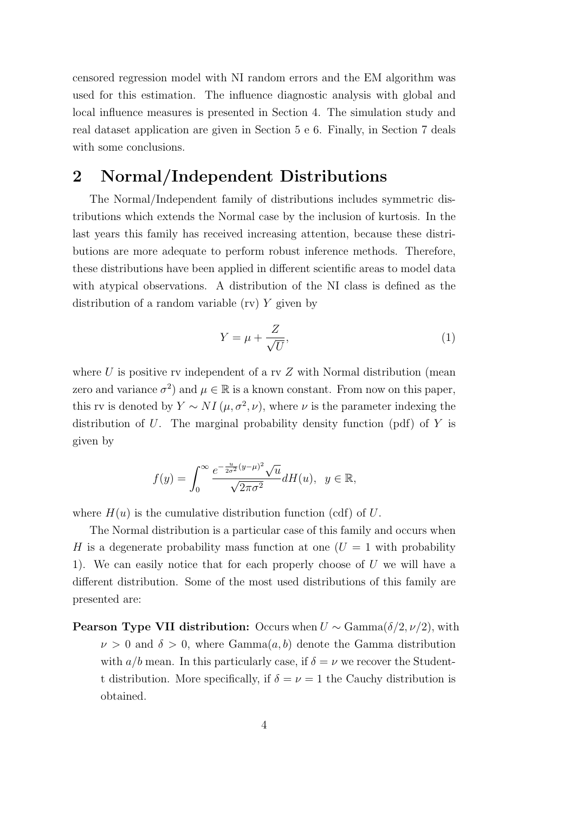censored regression model with NI random errors and the EM algorithm was used for this estimation. The influence diagnostic analysis with global and local influence measures is presented in Section 4. The simulation study and real dataset application are given in Section 5 e 6. Finally, in Section 7 deals with some conclusions.

## 2 Normal/Independent Distributions

The Normal/Independent family of distributions includes symmetric distributions which extends the Normal case by the inclusion of kurtosis. In the last years this family has received increasing attention, because these distributions are more adequate to perform robust inference methods. Therefore, these distributions have been applied in different scientific areas to model data with atypical observations. A distribution of the NI class is defined as the distribution of a random variable (rv) Y given by

$$
Y = \mu + \frac{Z}{\sqrt{U}},\tag{1}
$$

where U is positive rv independent of a rv  $Z$  with Normal distribution (mean zero and variance  $\sigma^2$ ) and  $\mu \in \mathbb{R}$  is a known constant. From now on this paper, this rv is denoted by  $Y \sim NI(\mu, \sigma^2, \nu)$ , where  $\nu$  is the parameter indexing the distribution of U. The marginal probability density function (pdf) of  $Y$  is given by

$$
f(y) = \int_0^\infty \frac{e^{-\frac{u}{2\sigma^2}(y-\mu)^2}\sqrt{u}}{\sqrt{2\pi\sigma^2}}dH(u), \ \ y \in \mathbb{R},
$$

where  $H(u)$  is the cumulative distribution function (cdf) of U.

The Normal distribution is a particular case of this family and occurs when H is a degenerate probability mass function at one  $(U = 1$  with probability 1). We can easily notice that for each properly choose of  $U$  we will have a different distribution. Some of the most used distributions of this family are presented are:

**Pearson Type VII distribution:** Occurs when  $U \sim \text{Gamma}(\delta/2, \nu/2)$ , with  $\nu > 0$  and  $\delta > 0$ , where Gamma $(a, b)$  denote the Gamma distribution with  $a/b$  mean. In this particularly case, if  $\delta = \nu$  we recover the Studentt distribution. More specifically, if  $\delta = \nu = 1$  the Cauchy distribution is obtained.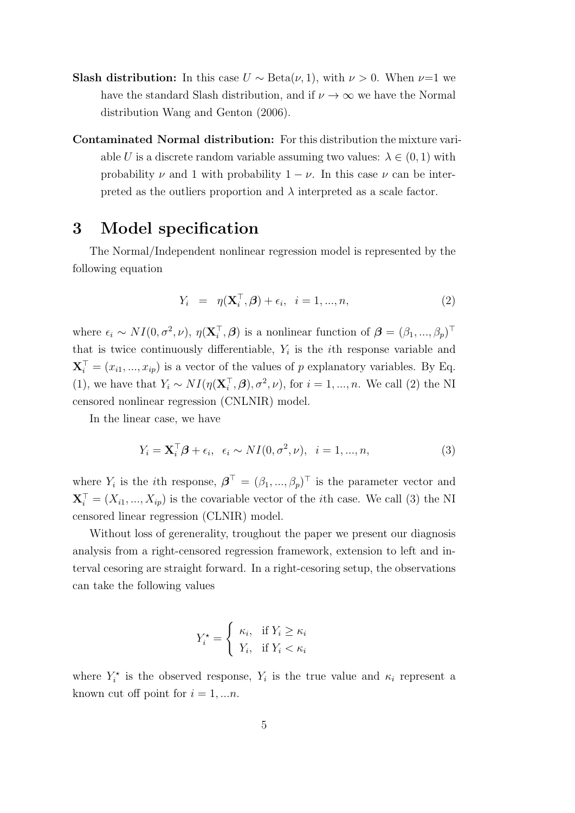- **Slash distribution:** In this case  $U \sim \text{Beta}(\nu, 1)$ , with  $\nu > 0$ . When  $\nu=1$  we have the standard Slash distribution, and if  $\nu \to \infty$  we have the Normal distribution Wang and Genton (2006).
- Contaminated Normal distribution: For this distribution the mixture variable U is a discrete random variable assuming two values:  $\lambda \in (0,1)$  with probability  $\nu$  and 1 with probability  $1 - \nu$ . In this case  $\nu$  can be interpreted as the outliers proportion and  $\lambda$  interpreted as a scale factor.

## 3 Model specification

The Normal/Independent nonlinear regression model is represented by the following equation

$$
Y_i = \eta(\mathbf{X}_i^{\top}, \boldsymbol{\beta}) + \epsilon_i, \quad i = 1, ..., n,
$$
\n
$$
(2)
$$

where  $\epsilon_i \sim NI(0, \sigma^2, \nu)$ ,  $\eta(\mathbf{X}_i^{\top}, \boldsymbol{\beta})$  is a nonlinear function of  $\boldsymbol{\beta} = (\beta_1, ..., \beta_p)^{\top}$ that is twice continuously differentiable,  $Y_i$  is the *i*th response variable and  $\mathbf{X}_i^{\top} = (x_{i1}, ..., x_{ip})$  is a vector of the values of p explanatory variables. By Eq. (1), we have that  $Y_i \sim NI(\eta(\mathbf{X}_i^{\top}, \boldsymbol{\beta}), \sigma^2, \nu)$ , for  $i = 1, ..., n$ . We call (2) the NI censored nonlinear regression (CNLNIR) model.

In the linear case, we have

$$
Y_i = \mathbf{X}_i^{\top} \boldsymbol{\beta} + \epsilon_i, \ \epsilon_i \sim NI(0, \sigma^2, \nu), \ \ i = 1, ..., n,
$$
\n(3)

where  $Y_i$  is the *i*th response,  $\boldsymbol{\beta}^T = (\beta_1, ..., \beta_p)^T$  is the parameter vector and  $\mathbf{X}_i^{\top} = (X_{i1},...,X_{ip})$  is the covariable vector of the *i*th case. We call (3) the NI censored linear regression (CLNIR) model.

Without loss of gerenerality, troughout the paper we present our diagnosis analysis from a right-censored regression framework, extension to left and interval cesoring are straight forward. In a right-cesoring setup, the observations can take the following values

$$
Y_i^* = \begin{cases} \kappa_i, & \text{if } Y_i \ge \kappa_i \\ Y_i, & \text{if } Y_i < \kappa_i \end{cases}
$$

where  $Y_i^*$  is the observed response,  $Y_i$  is the true value and  $\kappa_i$  represent a known cut off point for  $i = 1, \ldots n$ .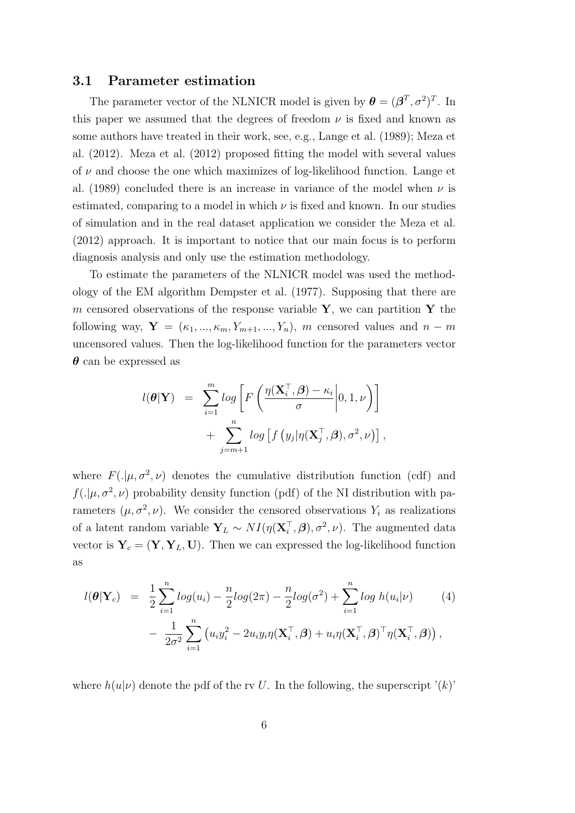#### 3.1 Parameter estimation

The parameter vector of the NLNICR model is given by  $\boldsymbol{\theta} = (\boldsymbol{\beta}^T, \sigma^2)^T$ . In this paper we assumed that the degrees of freedom  $\nu$  is fixed and known as some authors have treated in their work, see, e.g., Lange et al. (1989); Meza et al. (2012). Meza et al. (2012) proposed fitting the model with several values of  $\nu$  and choose the one which maximizes of log-likelihood function. Lange et al. (1989) concluded there is an increase in variance of the model when  $\nu$  is estimated, comparing to a model in which  $\nu$  is fixed and known. In our studies of simulation and in the real dataset application we consider the Meza et al. (2012) approach. It is important to notice that our main focus is to perform diagnosis analysis and only use the estimation methodology.

To estimate the parameters of the NLNICR model was used the methodology of the EM algorithm Dempster et al. (1977). Supposing that there are m censored observations of the response variable  $Y$ , we can partition Y the following way,  $\mathbf{Y} = (\kappa_1, ..., \kappa_m, Y_{m+1}, ..., Y_n)$ , m censored values and  $n - m$ uncensored values. Then the log-likelihood function for the parameters vector  $\theta$  can be expressed as

$$
l(\boldsymbol{\theta}|\mathbf{Y}) = \sum_{i=1}^{m} log \left[ F\left( \frac{\eta(\mathbf{X}_i^{\top}, \boldsymbol{\beta}) - \kappa_i}{\sigma} \middle| 0, 1, \nu \right) \right] + \sum_{j=m+1}^{n} log \left[ f\left( y_j | \eta(\mathbf{X}_j^{\top}, \boldsymbol{\beta}), \sigma^2, \nu \right) \right],
$$

where  $F(.\vert \mu, \sigma^2, \nu)$  denotes the cumulative distribution function (cdf) and  $f(.|\mu, \sigma^2, \nu)$  probability density function (pdf) of the NI distribution with parameters  $(\mu, \sigma^2, \nu)$ . We consider the censored observations  $Y_i$  as realizations of a latent random variable  $\mathbf{Y}_L \sim NI(\eta(\mathbf{X}_i^{\top}, \boldsymbol{\beta}), \sigma^2, \nu)$ . The augmented data vector is  $Y_c = (Y, Y_L, U)$ . Then we can expressed the log-likelihood function as

$$
l(\boldsymbol{\theta}|\mathbf{Y}_c) = \frac{1}{2} \sum_{i=1}^n log(u_i) - \frac{n}{2} log(2\pi) - \frac{n}{2} log(\sigma^2) + \sum_{i=1}^n log h(u_i|\nu)
$$
(4)  

$$
- \frac{1}{2\sigma^2} \sum_{i=1}^n (u_i y_i^2 - 2u_i y_i \eta(\mathbf{X}_i^{\top}, \boldsymbol{\beta}) + u_i \eta(\mathbf{X}_i^{\top}, \boldsymbol{\beta})^{\top} \eta(\mathbf{X}_i^{\top}, \boldsymbol{\beta})),
$$

where  $h(u|\nu)$  denote the pdf of the rv U. In the following, the superscript '(k)'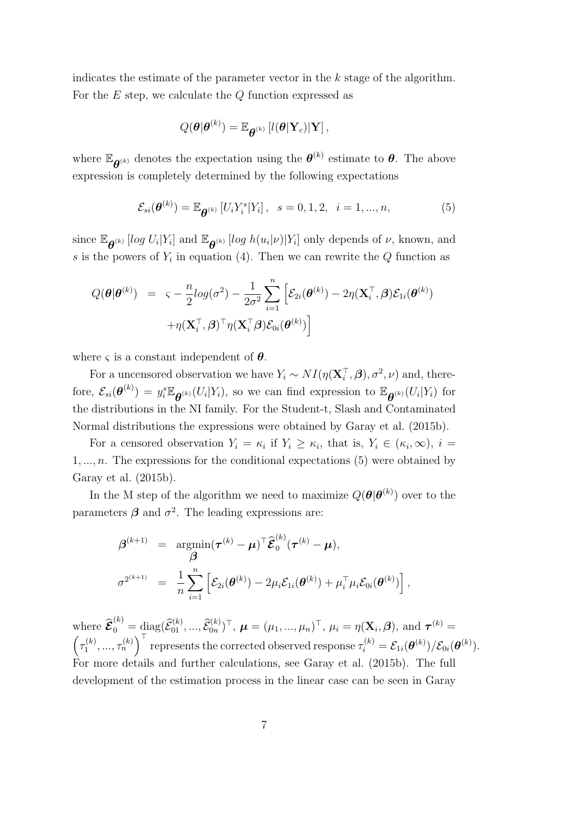indicates the estimate of the parameter vector in the  $k$  stage of the algorithm. For the  $E$  step, we calculate the  $Q$  function expressed as

$$
Q(\boldsymbol{\theta}|\boldsymbol{\theta}^{(k)}) = \mathbb{E}_{\boldsymbol{\theta}^{(k)}}\left[l(\boldsymbol{\theta}|\mathbf{Y}_c)|\mathbf{Y}\right],
$$

where  $\mathbb{E}_{\theta^{(k)}}$  denotes the expectation using the  $\theta^{(k)}$  estimate to  $\theta$ . The above expression is completely determined by the following expectations

$$
\mathcal{E}_{si}(\boldsymbol{\theta}^{(k)}) = \mathbb{E}_{\boldsymbol{\theta}^{(k)}}\left[U_i Y_i^s | Y_i\right], \ \ s = 0, 1, 2, \ \ i = 1, ..., n,
$$
 (5)

since  $\mathbb{E}_{\theta^{(k)}}$  [log  $U_i|Y_i]$  and  $\mathbb{E}_{\theta^{(k)}}$  [log  $h(u_i|\nu)|Y_i]$  only depends of  $\nu$ , known, and s is the powers of  $Y_i$  in equation (4). Then we can rewrite the  $Q$  function as

$$
Q(\boldsymbol{\theta}|\boldsymbol{\theta}^{(k)}) = \varsigma - \frac{n}{2}log(\sigma^2) - \frac{1}{2\sigma^2} \sum_{i=1}^n \left[ \mathcal{E}_{2i}(\boldsymbol{\theta}^{(k)}) - 2\eta(\mathbf{X}_i^{\top}, \boldsymbol{\beta}) \mathcal{E}_{1i}(\boldsymbol{\theta}^{(k)}) + \eta(\mathbf{X}_i^{\top}, \boldsymbol{\beta})^{\top} \eta(\mathbf{X}_i^{\top} \boldsymbol{\beta}) \mathcal{E}_{0i}(\boldsymbol{\theta}^{(k)}) \right]
$$

where  $\zeta$  is a constant independent of  $\theta$ .

For a uncensored observation we have  $Y_i \sim NI(\eta(\mathbf{X}_i^{\top}, \boldsymbol{\beta}), \sigma^2, \nu)$  and, therefore,  $\mathcal{E}_{si}(\theta^{(k)}) = y_i^s \mathbb{E}_{\theta^{(k)}}(U_i|Y_i)$ , so we can find expression to  $\mathbb{E}_{\theta^{(k)}}(U_i|Y_i)$  for the distributions in the NI family. For the Student-t, Slash and Contaminated Normal distributions the expressions were obtained by Garay et al. (2015b).

For a censored observation  $Y_i = \kappa_i$  if  $Y_i \geq \kappa_i$ , that is,  $Y_i \in (\kappa_i, \infty)$ ,  $i =$  $1, \ldots, n$ . The expressions for the conditional expectations (5) were obtained by Garay et al. (2015b).

In the M step of the algorithm we need to maximize  $Q(\boldsymbol{\theta}|\boldsymbol{\theta}^{(k)})$  over to the parameters  $\beta$  and  $\sigma^2$ . The leading expressions are:

$$
\begin{array}{rcl}\n\boldsymbol{\beta}^{(k+1)} & = & \underset{\boldsymbol{\beta}}{\operatorname{argmin}} (\boldsymbol{\tau}^{(k)} - \boldsymbol{\mu})^{\top} \boldsymbol{\widehat{\mathcal{E}}}^{(k)}_0 (\boldsymbol{\tau}^{(k)} - \boldsymbol{\mu}), \\
\boldsymbol{\beta}^{2^{(k+1)}} & = & \frac{1}{n} \sum_{i=1}^n \left[ \mathcal{E}_{2i}(\boldsymbol{\theta}^{(k)}) - 2\mu_i \mathcal{E}_{1i}(\boldsymbol{\theta}^{(k)}) + \mu_i^{\top} \mu_i \mathcal{E}_{0i}(\boldsymbol{\theta}^{(k)}) \right],\n\end{array}
$$

where  $\widehat{\boldsymbol{\mathcal{E}}}_{0}^{(k)} = \text{diag}(\widehat{\mathcal{E}}_{01}^{(k)}, ..., \widehat{\mathcal{E}}_{0n}^{(k)})^{\top}$ ,  $\boldsymbol{\mu} = (\mu_1, ..., \mu_n)^{\top}$ ,  $\mu_i = \eta(\mathbf{X}_i, \boldsymbol{\beta})$ , and  $\boldsymbol{\tau}^{(k)} =$  $\left(\tau_1^{(k)}\right)$  $\mathcal{L}_1^{(k)},...,\tau_n^{(k)}\Big)^{\top}$  represents the corrected observed response  $\tau_i^{(k)} = \mathcal{E}_{1i}(\boldsymbol{\theta}^{(k)})/\mathcal{E}_{0i}(\boldsymbol{\theta}^{(k)}).$ For more details and further calculations, see Garay et al. (2015b). The full development of the estimation process in the linear case can be seen in Garay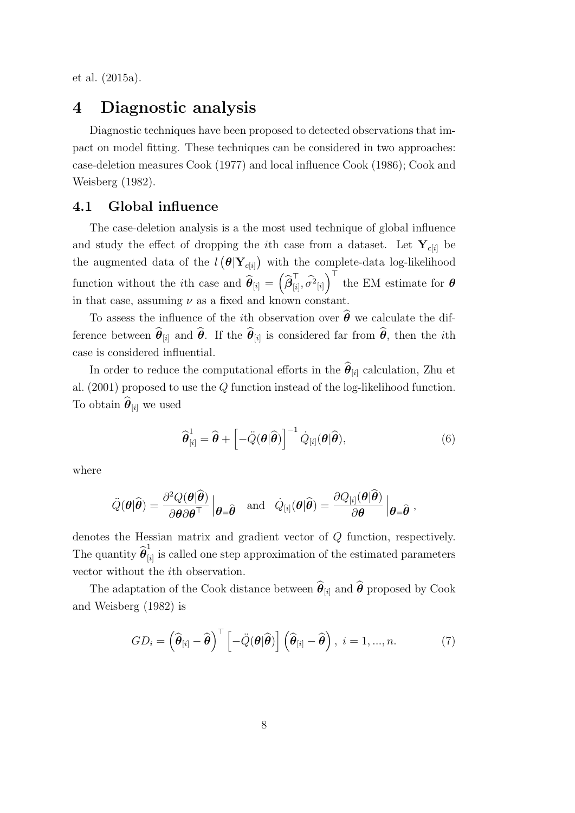et al. (2015a).

### 4 Diagnostic analysis

Diagnostic techniques have been proposed to detected observations that impact on model fitting. These techniques can be considered in two approaches: case-deletion measures Cook (1977) and local influence Cook (1986); Cook and Weisberg (1982).

#### 4.1 Global influence

The case-deletion analysis is a the most used technique of global influence and study the effect of dropping the  $i$ th case from a dataset. Let  $\mathbf{Y}_{c[i]}$  be the augmented data of the  $l\left(\mathbf{\theta}|\mathbf{Y}_{c[i]}\right)$  with the complete-data log-likelihood function without the *i*th case and  $\widehat{\theta}_{[i]} = \left(\widehat{\beta}_{[i]}^{\top}\right)$  $\left[\begin{smallmatrix} \overline{i}_1 \\ i_2 \end{smallmatrix}\right], \widehat{\sigma^2}_{[i]}$  the EM estimate for  $\boldsymbol{\theta}$ in that case, assuming  $\nu$  as a fixed and known constant.

To assess the influence of the *i*th observation over  $\hat{\theta}$  we calculate the difference between  $\theta_{[i]}$  and  $\theta$ . If the  $\theta_{[i]}$  is considered far from  $\theta$ , then the *i*th case is considered influential.

In order to reduce the computational efforts in the  $\boldsymbol{\theta}_{[i]}$  calculation, Zhu et al. (2001) proposed to use the Q function instead of the log-likelihood function. To obtain  $\boldsymbol{\theta}_{[i]}$  we used

$$
\widehat{\boldsymbol{\theta}}_{[i]}^{1} = \widehat{\boldsymbol{\theta}} + \left[ -\ddot{Q}(\boldsymbol{\theta}|\widehat{\boldsymbol{\theta}}) \right]^{-1} \dot{Q}_{[i]}(\boldsymbol{\theta}|\widehat{\boldsymbol{\theta}}), \tag{6}
$$

where

$$
\ddot{Q}(\boldsymbol{\theta}|\widehat{\boldsymbol{\theta}}) = \frac{\partial^2 Q(\boldsymbol{\theta}|\widehat{\boldsymbol{\theta}})}{\partial \boldsymbol{\theta}\partial \boldsymbol{\theta}^\top} \begin{vmatrix} \boldsymbol{\theta} = \widehat{\boldsymbol{\theta}} & \text{and} & \dot{Q}_{[i]}(\boldsymbol{\theta}|\widehat{\boldsymbol{\theta}}) = \frac{\partial Q_{[i]}(\boldsymbol{\theta}|\widehat{\boldsymbol{\theta}})}{\partial \boldsymbol{\theta}} \end{vmatrix} \boldsymbol{\theta} = \widehat{\boldsymbol{\theta}} \;,
$$

denotes the Hessian matrix and gradient vector of Q function, respectively. The quantity  $\widehat{\boldsymbol{\theta}}_{\left[ i\right]}^{1}$  $\tilde{p}_{[i]}$  is called one step approximation of the estimated parameters vector without the ith observation.

The adaptation of the Cook distance between  $\boldsymbol{\theta}_{[i]}$  and  $\boldsymbol{\theta}$  proposed by Cook and Weisberg (1982) is

$$
GD_i = \left(\widehat{\boldsymbol{\theta}}_{[i]} - \widehat{\boldsymbol{\theta}}\right)^{\top} \left[-\ddot{Q}(\boldsymbol{\theta}|\widehat{\boldsymbol{\theta}})\right] \left(\widehat{\boldsymbol{\theta}}_{[i]} - \widehat{\boldsymbol{\theta}}\right), \ i = 1, ..., n. \tag{7}
$$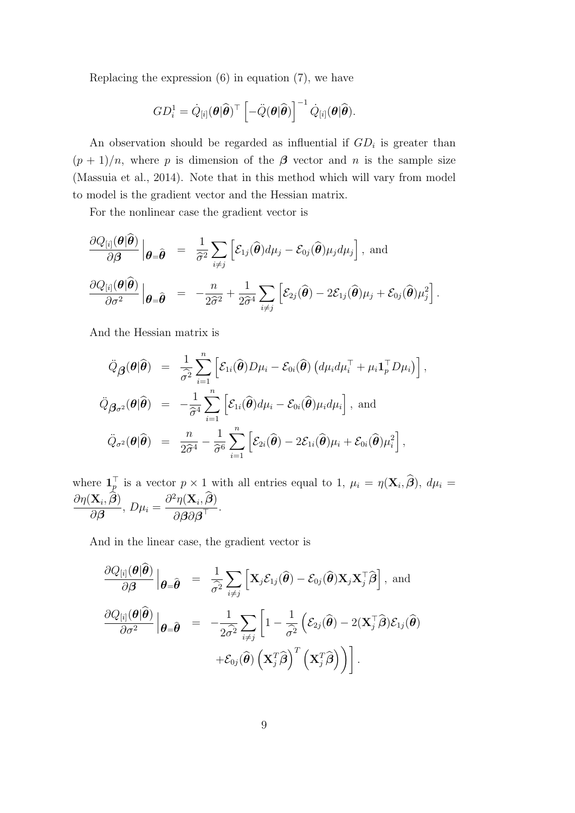Replacing the expression  $(6)$  in equation  $(7)$ , we have

$$
GD_i^1 = \dot{Q}_{[i]}(\boldsymbol{\theta}|\widehat{\boldsymbol{\theta}})^{\top} \left[ -\ddot{Q}(\boldsymbol{\theta}|\widehat{\boldsymbol{\theta}}) \right]^{-1} \dot{Q}_{[i]}(\boldsymbol{\theta}|\widehat{\boldsymbol{\theta}}).
$$

An observation should be regarded as influential if  $GD_i$  is greater than  $(p+1)/n$ , where p is dimension of the  $\beta$  vector and n is the sample size (Massuia et al., 2014). Note that in this method which will vary from model to model is the gradient vector and the Hessian matrix.

For the nonlinear case the gradient vector is

$$
\frac{\partial Q_{[i]}(\boldsymbol{\theta}|\widehat{\boldsymbol{\theta}})}{\partial \boldsymbol{\beta}}\Big|_{\boldsymbol{\theta}=\widehat{\boldsymbol{\theta}}} = \frac{1}{\widehat{\sigma}^2} \sum_{i\neq j} \left[ \mathcal{E}_{1j}(\widehat{\boldsymbol{\theta}}) d\mu_j - \mathcal{E}_{0j}(\widehat{\boldsymbol{\theta}}) \mu_j d\mu_j \right], \text{ and}
$$

$$
\frac{\partial Q_{[i]}(\boldsymbol{\theta}|\widehat{\boldsymbol{\theta}})}{\partial \sigma^2}\Big|_{\boldsymbol{\theta}=\widehat{\boldsymbol{\theta}}} = -\frac{n}{2\widehat{\sigma}^2} + \frac{1}{2\widehat{\sigma}^4} \sum_{i\neq j} \left[ \mathcal{E}_{2j}(\widehat{\boldsymbol{\theta}}) - 2\mathcal{E}_{1j}(\widehat{\boldsymbol{\theta}}) \mu_j + \mathcal{E}_{0j}(\widehat{\boldsymbol{\theta}}) \mu_j^2 \right].
$$

And the Hessian matrix is

$$
\ddot{Q}_{\boldsymbol{\beta}}(\boldsymbol{\theta}|\widehat{\boldsymbol{\theta}}) = \frac{1}{\widehat{\sigma}^2} \sum_{i=1}^n \left[ \mathcal{E}_{1i}(\widehat{\boldsymbol{\theta}}) D\mu_i - \mathcal{E}_{0i}(\widehat{\boldsymbol{\theta}}) \left( d\mu_i d\mu_i^{\top} + \mu_i \mathbf{1}_p^{\top} D\mu_i \right) \right],
$$
\n
$$
\ddot{Q}_{\boldsymbol{\beta}\sigma^2}(\boldsymbol{\theta}|\widehat{\boldsymbol{\theta}}) = -\frac{1}{\widehat{\sigma}^4} \sum_{i=1}^n \left[ \mathcal{E}_{1i}(\widehat{\boldsymbol{\theta}}) d\mu_i - \mathcal{E}_{0i}(\widehat{\boldsymbol{\theta}}) \mu_i d\mu_i \right],
$$
 and\n
$$
\ddot{Q}_{\sigma^2}(\boldsymbol{\theta}|\widehat{\boldsymbol{\theta}}) = \frac{n}{2\widehat{\sigma}^4} - \frac{1}{\widehat{\sigma}^6} \sum_{i=1}^n \left[ \mathcal{E}_{2i}(\widehat{\boldsymbol{\theta}}) - 2\mathcal{E}_{1i}(\widehat{\boldsymbol{\theta}}) \mu_i + \mathcal{E}_{0i}(\widehat{\boldsymbol{\theta}}) \mu_i^2 \right],
$$

where  $\mathbf{1}_{\mathcal{P}}^{\top}$  is a vector  $p \times 1$  with all entries equal to 1,  $\mu_i = \eta(\mathbf{X}_i, \hat{\boldsymbol{\beta}}), d\mu_i =$  $\frac{\partial \eta(\mathbf{X}_i, \boldsymbol{\beta})}{\partial \mathbf{X}_i}$  $\frac{\partial P_i(\mathcal{P})}{\partial \boldsymbol{\beta}}, D\mu_i =$  $\frac{\partial^2 \eta(\mathbf{X}_i, \widehat{\boldsymbol{\beta}})}{\widetilde{\boldsymbol{\beta}}}$  $\frac{\partial \overline{\mathcal{A}}}{\partial \beta \partial \beta}$ .

And in the linear case, the gradient vector is

$$
\frac{\partial Q_{[i]}(\boldsymbol{\theta}|\boldsymbol{\hat{\theta}})}{\partial \boldsymbol{\beta}}\Big|_{\boldsymbol{\theta}=\widehat{\boldsymbol{\theta}}} = \frac{1}{\widehat{\sigma}^2} \sum_{i\neq j} \left[ \mathbf{X}_j \mathcal{E}_{1j}(\widehat{\boldsymbol{\theta}}) - \mathcal{E}_{0j}(\widehat{\boldsymbol{\theta}}) \mathbf{X}_j \mathbf{X}_j^{\top} \widehat{\boldsymbol{\beta}} \right], \text{ and}
$$

$$
\frac{\partial Q_{[i]}(\boldsymbol{\theta}|\widehat{\boldsymbol{\theta}})}{\partial \sigma^2} \Big|_{\boldsymbol{\theta}=\widehat{\boldsymbol{\theta}}} = -\frac{1}{2\widehat{\sigma}^2} \sum_{i\neq j} \left[ 1 - \frac{1}{\widehat{\sigma}^2} \left( \mathcal{E}_{2j}(\widehat{\boldsymbol{\theta}}) - 2(\mathbf{X}_j^{\top} \widehat{\boldsymbol{\beta}}) \mathcal{E}_{1j}(\widehat{\boldsymbol{\theta}}) \right) + \mathcal{E}_{0j}(\widehat{\boldsymbol{\theta}}) \left( \mathbf{X}_j^{\top} \widehat{\boldsymbol{\beta}} \right)^{T} \left( \mathbf{X}_j^{\top} \widehat{\boldsymbol{\beta}} \right) \right].
$$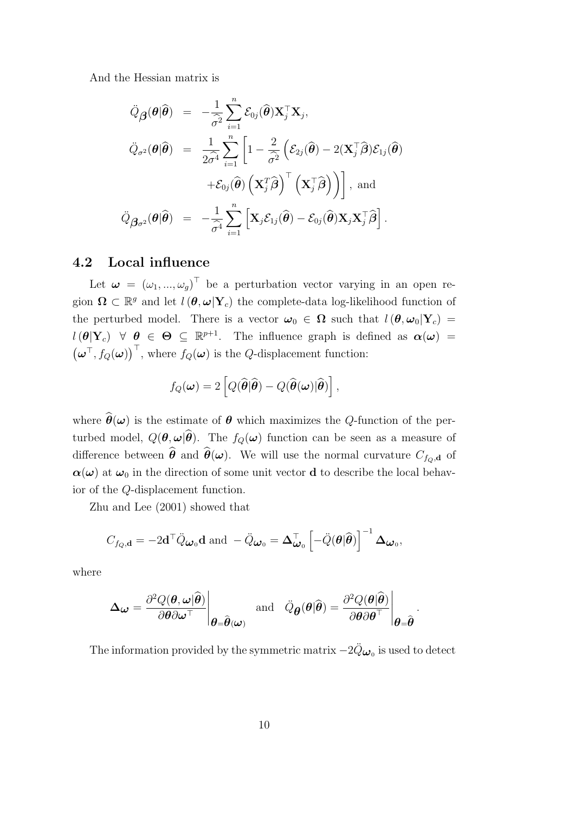And the Hessian matrix is

$$
\ddot{Q}_{\boldsymbol{\beta}}(\boldsymbol{\theta}|\widehat{\boldsymbol{\theta}}) = -\frac{1}{\hat{\sigma}^2} \sum_{i=1}^n \mathcal{E}_{0j}(\widehat{\boldsymbol{\theta}}) \mathbf{X}_j^{\top} \mathbf{X}_j,
$$
\n
$$
\ddot{Q}_{\sigma^2}(\boldsymbol{\theta}|\widehat{\boldsymbol{\theta}}) = \frac{1}{2\hat{\sigma}^4} \sum_{i=1}^n \left[ 1 - \frac{2}{\hat{\sigma}^2} \left( \mathcal{E}_{2j}(\widehat{\boldsymbol{\theta}}) - 2(\mathbf{X}_j^{\top}\widehat{\boldsymbol{\beta}}) \mathcal{E}_{1j}(\widehat{\boldsymbol{\theta}}) \right) \right. \\
\left. + \mathcal{E}_{0j}(\widehat{\boldsymbol{\theta}}) \left( \mathbf{X}_j^{\top}\widehat{\boldsymbol{\beta}} \right)^{\top} \left( \mathbf{X}_j^{\top}\widehat{\boldsymbol{\beta}} \right) \right], \text{ and}
$$
\n
$$
\ddot{Q}_{\boldsymbol{\beta}_{\sigma^2}}(\boldsymbol{\theta}|\widehat{\boldsymbol{\theta}}) = -\frac{1}{\hat{\sigma}^4} \sum_{i=1}^n \left[ \mathbf{X}_j \mathcal{E}_{1j}(\widehat{\boldsymbol{\theta}}) - \mathcal{E}_{0j}(\widehat{\boldsymbol{\theta}}) \mathbf{X}_j \mathbf{X}_j^{\top}\widehat{\boldsymbol{\beta}} \right].
$$

#### 4.2 Local influence

Let  $\boldsymbol{\omega} = (\omega_1, ..., \omega_g)^\top$  be a perturbation vector varying in an open region  $\Omega \subset \mathbb{R}^g$  and let  $l(\theta, \omega | \mathbf{Y}_c)$  the complete-data log-likelihood function of the perturbed model. There is a vector  $\omega_0 \in \Omega$  such that  $l(\theta, \omega_0|Y_c)$  =  $l(\theta|Y_c) \;\; \forall \;\; \theta \in \Theta \subseteq \mathbb{R}^{p+1}$ . The influence graph is defined as  $\alpha(\omega)$  =  $(\boldsymbol{\omega}^{\top}, f_Q(\boldsymbol{\omega}))^{\top}$ , where  $f_Q(\boldsymbol{\omega})$  is the *Q*-displacement function:

$$
f_Q(\boldsymbol{\omega}) = 2 \left[ Q(\widehat{\boldsymbol{\theta}}|\widehat{\boldsymbol{\theta}}) - Q(\widehat{\boldsymbol{\theta}}(\boldsymbol{\omega})|\widehat{\boldsymbol{\theta}}) \right],
$$

where  $\hat{\theta}(\omega)$  is the estimate of  $\theta$  which maximizes the Q-function of the perturbed model,  $Q(\theta, \omega | \hat{\theta})$ . The  $f_Q(\omega)$  function can be seen as a measure of difference between  $\hat{\theta}$  and  $\hat{\theta}(\omega)$ . We will use the normal curvature  $C_{f_Q,\mathbf{d}}$  of  $\alpha(\omega)$  at  $\omega_0$  in the direction of some unit vector **d** to describe the local behavior of the Q-displacement function.

Zhu and Lee (2001) showed that

$$
C_{f_{\mathcal{Q}},\mathbf{d}} = -2\mathbf{d}^\top \ddot{Q} \boldsymbol{\omega}_0 \mathbf{d} \text{ and } - \ddot{Q} \boldsymbol{\omega}_0 = \boldsymbol{\Delta}_{\boldsymbol{\omega}_0}^\top \left[ -\ddot{Q}(\boldsymbol{\theta}|\widehat{\boldsymbol{\theta}}) \right]^{-1} \boldsymbol{\Delta}_{\boldsymbol{\omega}_0},
$$

where

$$
\Delta_{\boldsymbol{\omega}} = \frac{\partial^2 Q(\boldsymbol{\theta}, \boldsymbol{\omega} | \widehat{\boldsymbol{\theta}})}{\partial \boldsymbol{\theta} \partial \boldsymbol{\omega}^\top} \Bigg|_{\boldsymbol{\theta} = \widehat{\boldsymbol{\theta}}(\boldsymbol{\omega})} \quad \text{and} \quad \ddot{Q}_{\boldsymbol{\theta}}(\boldsymbol{\theta} | \widehat{\boldsymbol{\theta}}) = \frac{\partial^2 Q(\boldsymbol{\theta} | \widehat{\boldsymbol{\theta}})}{\partial \boldsymbol{\theta} \partial \boldsymbol{\theta}^\top} \Bigg|_{\boldsymbol{\theta} = \widehat{\boldsymbol{\theta}}}
$$

The information provided by the symmetric matrix  $-2\ddot{Q}_{\boldsymbol{\omega}_0}$  is used to detect

.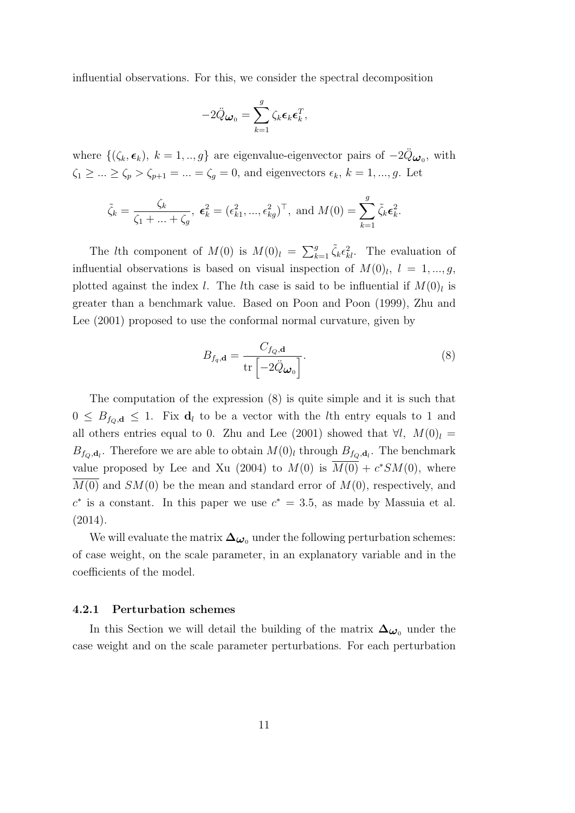influential observations. For this, we consider the spectral decomposition

$$
-2\ddot{Q}_{\boldsymbol{\omega}_0} = \sum_{k=1}^g \zeta_k \boldsymbol{\epsilon}_k \boldsymbol{\epsilon}_k^T,
$$

where  $\{(\zeta_k, \epsilon_k), k = 1, ..., g\}$  are eigenvalue-eigenvector pairs of  $-2\ddot{Q}_{\omega_0}$ , with  $\zeta_1 \geq \ldots \geq \zeta_p > \zeta_{p+1} = \ldots = \zeta_g = 0$ , and eigenvectors  $\epsilon_k$ ,  $k = 1, \ldots, g$ . Let

$$
\tilde{\zeta}_k = \frac{\zeta_k}{\zeta_1 + \ldots + \zeta_g}, \ \boldsymbol{\epsilon}_k^2 = (\epsilon_{k1}^2, \ldots, \epsilon_{kg}^2)^\top, \text{ and } M(0) = \sum_{k=1}^g \tilde{\zeta}_k \boldsymbol{\epsilon}_k^2.
$$

The *l*th component of  $M(0)$  is  $M(0)_l = \sum_{k=1}^g \tilde{\zeta}_k \epsilon_{kl}^2$ . The evaluation of influential observations is based on visual inspection of  $M(0)$ ,  $l = 1, ..., g$ , plotted against the index l. The lth case is said to be influential if  $M(0)<sub>l</sub>$  is greater than a benchmark value. Based on Poon and Poon (1999), Zhu and Lee (2001) proposed to use the conformal normal curvature, given by

$$
B_{f_q, \mathbf{d}} = \frac{C_{f_Q, \mathbf{d}}}{\text{tr}\left[-2\ddot{Q}\boldsymbol{\omega}_0\right]}.
$$
\n(8)

The computation of the expression (8) is quite simple and it is such that  $0 \leq B_{f_0,d} \leq 1$ . Fix  $d_l$  to be a vector with the lth entry equals to 1 and all others entries equal to 0. Zhu and Lee (2001) showed that  $\forall l, M(0)_{l} =$  $B_{f_Q,d_l}$ . Therefore we are able to obtain  $M(0)_l$  through  $B_{f_Q,d_l}$ . The benchmark value proposed by Lee and Xu (2004) to  $M(0)$  is  $\overline{M(0)} + c^*SM(0)$ , where  $\overline{M(0)}$  and  $SM(0)$  be the mean and standard error of  $M(0)$ , respectively, and  $c^*$  is a constant. In this paper we use  $c^* = 3.5$ , as made by Massuia et al. (2014).

We will evaluate the matrix  $\Delta_{\omega_0}$  under the following perturbation schemes: of case weight, on the scale parameter, in an explanatory variable and in the coefficients of the model.

#### 4.2.1 Perturbation schemes

In this Section we will detail the building of the matrix  $\Delta_{\omega_0}$  under the case weight and on the scale parameter perturbations. For each perturbation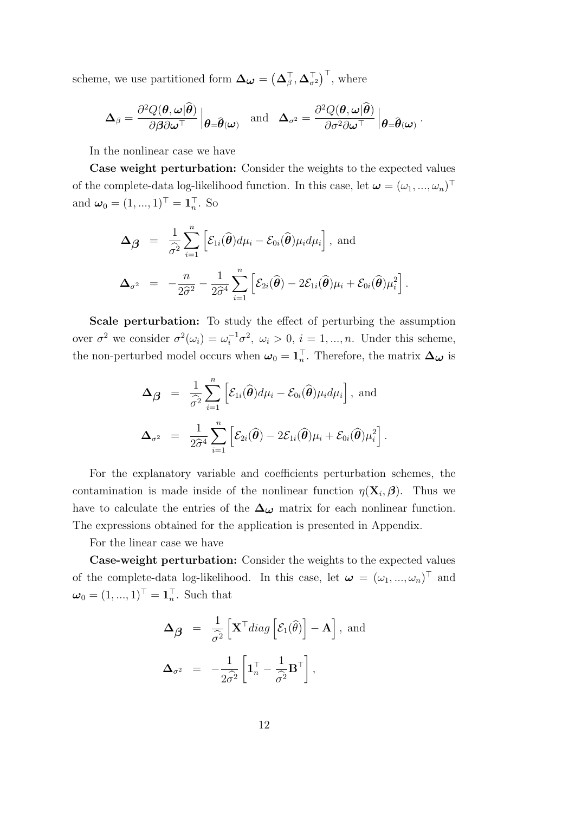scheme, we use partitioned form  $\Delta_{\boldsymbol{\omega}} = (\Delta_{\beta}^{\top}, \Delta_{\sigma^2}^{\top})^{\top}$ , where

$$
\boldsymbol{\Delta}_{\beta} = \frac{\partial^2 Q(\boldsymbol{\theta}, \boldsymbol{\omega}|\widehat{\boldsymbol{\theta}})}{\partial \boldsymbol{\beta} \partial \boldsymbol{\omega}^\top} \left|_{\boldsymbol{\theta} = \widehat{\boldsymbol{\theta}}(\boldsymbol{\omega})} \quad \text{and} \quad \boldsymbol{\Delta}_{\sigma^2} = \frac{\partial^2 Q(\boldsymbol{\theta}, \boldsymbol{\omega}|\widehat{\boldsymbol{\theta}})}{\partial \sigma^2 \partial \boldsymbol{\omega}^\top} \left|_{\boldsymbol{\theta} = \widehat{\boldsymbol{\theta}}(\boldsymbol{\omega})} \right. .
$$

In the nonlinear case we have

Case weight perturbation: Consider the weights to the expected values of the complete-data log-likelihood function. In this case, let  $\boldsymbol{\omega} = (\omega_1, ..., \omega_n)^\top$ and  $\boldsymbol{\omega}_0 = (1, ..., 1)^\top = \mathbf{1}_n^\top$ . So

$$
\Delta_{\beta} = \frac{1}{\hat{\sigma}^2} \sum_{i=1}^n \left[ \mathcal{E}_{1i}(\widehat{\boldsymbol{\theta}}) d\mu_i - \mathcal{E}_{0i}(\widehat{\boldsymbol{\theta}}) \mu_i d\mu_i \right], \text{ and}
$$
  

$$
\Delta_{\sigma^2} = -\frac{n}{2\hat{\sigma}^2} - \frac{1}{2\hat{\sigma}^4} \sum_{i=1}^n \left[ \mathcal{E}_{2i}(\widehat{\boldsymbol{\theta}}) - 2\mathcal{E}_{1i}(\widehat{\boldsymbol{\theta}}) \mu_i + \mathcal{E}_{0i}(\widehat{\boldsymbol{\theta}}) \mu_i^2 \right].
$$

Scale perturbation: To study the effect of perturbing the assumption over  $\sigma^2$  we consider  $\sigma^2(\omega_i) = \omega_i^{-1}\sigma^2$ ,  $\omega_i > 0$ ,  $i = 1, ..., n$ . Under this scheme, the non-perturbed model occurs when  $\omega_0 = \mathbf{1}_n^{\top}$ . Therefore, the matrix  $\Delta_{\omega}$  is

$$
\Delta_{\hat{\boldsymbol{\beta}}} = \frac{1}{\hat{\sigma}^2} \sum_{i=1}^n \left[ \mathcal{E}_{1i}(\hat{\boldsymbol{\theta}}) d\mu_i - \mathcal{E}_{0i}(\hat{\boldsymbol{\theta}}) \mu_i d\mu_i \right], \text{ and}
$$
  

$$
\Delta_{\sigma^2} = \frac{1}{2\hat{\sigma}^4} \sum_{i=1}^n \left[ \mathcal{E}_{2i}(\hat{\boldsymbol{\theta}}) - 2\mathcal{E}_{1i}(\hat{\boldsymbol{\theta}}) \mu_i + \mathcal{E}_{0i}(\hat{\boldsymbol{\theta}}) \mu_i^2 \right].
$$

For the explanatory variable and coefficients perturbation schemes, the contamination is made inside of the nonlinear function  $\eta(\mathbf{X}_i, \boldsymbol{\beta})$ . Thus we have to calculate the entries of the  $\Delta_{\omega}$  matrix for each nonlinear function. The expressions obtained for the application is presented in Appendix.

For the linear case we have

Case-weight perturbation: Consider the weights to the expected values of the complete-data log-likelihood. In this case, let  $\boldsymbol{\omega} = (\omega_1, ..., \omega_n)^\top$  and  $\boldsymbol{\omega}_0 = (1, ..., 1)^\top = \mathbf{1}_n^\top$ . Such that

$$
\Delta_{\beta} = \frac{1}{\hat{\sigma}^2} \left[ \mathbf{X}^{\top} diag\left[ \mathcal{E}_1(\hat{\theta}) \right] - \mathbf{A} \right], \text{ and}
$$
  

$$
\Delta_{\sigma^2} = -\frac{1}{2\hat{\sigma}^2} \left[ \mathbf{1}_n^{\top} - \frac{1}{\hat{\sigma}^2} \mathbf{B}^{\top} \right],
$$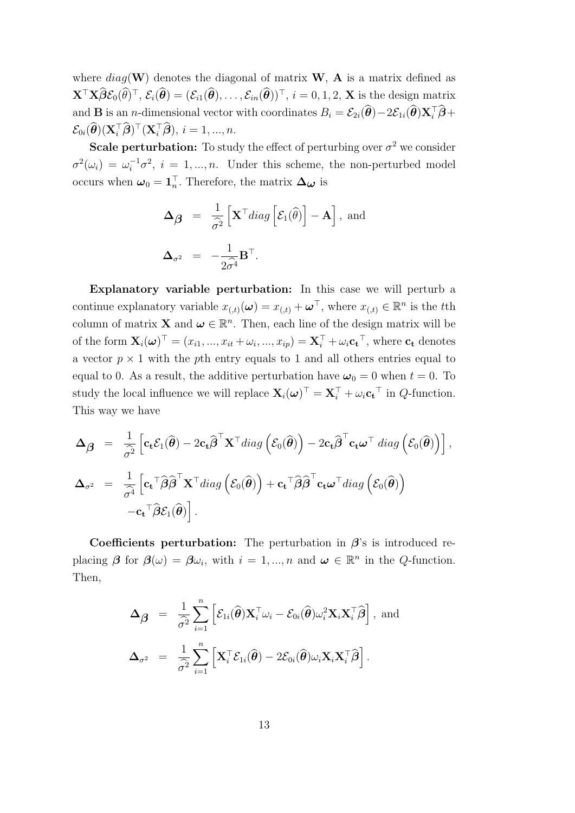where  $diag(\mathbf{W})$  denotes the diagonal of matrix  $\mathbf{W}$ ,  $\mathbf{A}$  is a matrix defined as  $\mathbf{X}^{\top} \mathbf{X} \hat{\boldsymbol{\beta}} \mathcal{E}_0(\hat{\boldsymbol{\theta}})^{\top}, \, \mathcal{E}_i(\hat{\boldsymbol{\theta}}) = (\mathcal{E}_{i1}(\hat{\boldsymbol{\theta}}), \dots, \mathcal{E}_{in}(\hat{\boldsymbol{\theta}}))^{\top}, \, i = 0, 1, 2, \, \mathbf{X} \text{ is the design matrix}$ and **B** is an *n*-dimensional vector with coordinates  $B_i = \mathcal{E}_{2i}(\hat{\theta}) - 2\mathcal{E}_{1i}(\hat{\theta})\mathbf{X}_i^{\top}\hat{\boldsymbol{\beta}} + \hat{\boldsymbol{\beta}}$  $\mathcal{E}_{0i}(\widehat{\boldsymbol{\theta}})(\mathbf{X}_i^{\top}\widehat{\boldsymbol{\beta}})^{\top}(\mathbf{X}_i^{\top}\widehat{\boldsymbol{\beta}}), i = 1, ..., n.$ 

**Scale perturbation:** To study the effect of perturbing over  $\sigma^2$  we consider  $\sigma^2(\omega_i) = \omega_i^{-1} \sigma^2$ ,  $i = 1, ..., n$ . Under this scheme, the non-perturbed model occurs when  $\omega_0 = \mathbf{1}_n^{\top}$ . Therefore, the matrix  $\Delta_{\omega}$  is

$$
\Delta_{\beta} = \frac{1}{\hat{\sigma}^2} \left[ \mathbf{X}^{\top} diag\left[ \mathcal{E}_1(\hat{\theta}) \right] - \mathbf{A} \right], \text{ and}
$$
  

$$
\Delta_{\sigma^2} = -\frac{1}{2\hat{\sigma}^4} \mathbf{B}^{\top}.
$$

Explanatory variable perturbation: In this case we will perturb a continue explanatory variable  $x_{(,t)}(\boldsymbol{\omega}) = x_{(,t)} + \boldsymbol{\omega}^\top$ , where  $x_{(,t)} \in \mathbb{R}^n$  is the tth column of matrix **X** and  $\boldsymbol{\omega} \in \mathbb{R}^n$ . Then, each line of the design matrix will be of the form  $\mathbf{X}_i(\boldsymbol{\omega})^{\top} = (x_{i1},...,x_{it}+\omega_i,...,x_{ip}) = \mathbf{X}_i^{\top} + \omega_i \mathbf{c_t}^{\top}$ , where  $\mathbf{c_t}$  denotes a vector  $p \times 1$  with the pth entry equals to 1 and all others entries equal to equal to 0. As a result, the additive perturbation have  $\omega_0 = 0$  when  $t = 0$ . To study the local influence we will replace  $\mathbf{X}_i(\boldsymbol{\omega})^{\top} = \mathbf{X}_i^{\top} + \omega_i \mathbf{c_t}^{\top}$  in  $Q$ -function. This way we have

$$
\Delta_{\beta} = \frac{1}{\hat{\sigma}^2} \left[ \mathbf{c}_{\mathbf{t}} \mathcal{E}_1(\hat{\boldsymbol{\theta}}) - 2 \mathbf{c}_{\mathbf{t}} \hat{\boldsymbol{\beta}}^{\top} \mathbf{X}^{\top} diag\left( \mathcal{E}_0(\hat{\boldsymbol{\theta}}) \right) - 2 \mathbf{c}_{\mathbf{t}} \hat{\boldsymbol{\beta}}^{\top} \mathbf{c}_{\mathbf{t}} \boldsymbol{\omega}^{\top} diag\left( \mathcal{E}_0(\hat{\boldsymbol{\theta}}) \right) \right],
$$
  

$$
\Delta_{\sigma^2} = \frac{1}{\hat{\sigma}^4} \left[ \mathbf{c}_{\mathbf{t}}^{\top} \hat{\boldsymbol{\beta}} \hat{\boldsymbol{\beta}}^{\top} \mathbf{X}^{\top} diag\left( \mathcal{E}_0(\hat{\boldsymbol{\theta}}) \right) + \mathbf{c}_{\mathbf{t}}^{\top} \hat{\boldsymbol{\beta}} \hat{\boldsymbol{\beta}}^{\top} \mathbf{c}_{\mathbf{t}} \boldsymbol{\omega}^{\top} diag\left( \mathcal{E}_0(\hat{\boldsymbol{\theta}}) \right) - \mathbf{c}_{\mathbf{t}}^{\top} \hat{\boldsymbol{\beta}} \mathcal{E}_1(\hat{\boldsymbol{\theta}}) \right].
$$

Coefficients perturbation: The perturbation in  $\beta$ 's is introduced replacing  $\beta$  for  $\beta(\omega) = \beta \omega_i$ , with  $i = 1, ..., n$  and  $\omega \in \mathbb{R}^n$  in the Q-function. Then,

$$
\Delta_{\hat{\boldsymbol{\beta}}} = \frac{1}{\hat{\sigma}^2} \sum_{i=1}^n \left[ \mathcal{E}_{1i}(\hat{\boldsymbol{\theta}}) \mathbf{X}_i^{\top} \omega_i - \mathcal{E}_{0i}(\hat{\boldsymbol{\theta}}) \omega_i^2 \mathbf{X}_i \mathbf{X}_i^{\top} \hat{\boldsymbol{\beta}} \right], \text{ and}
$$
  

$$
\Delta_{\sigma^2} = \frac{1}{\hat{\sigma}^2} \sum_{i=1}^n \left[ \mathbf{X}_i^{\top} \mathcal{E}_{1i}(\hat{\boldsymbol{\theta}}) - 2 \mathcal{E}_{0i}(\hat{\boldsymbol{\theta}}) \omega_i \mathbf{X}_i \mathbf{X}_i^{\top} \hat{\boldsymbol{\beta}} \right].
$$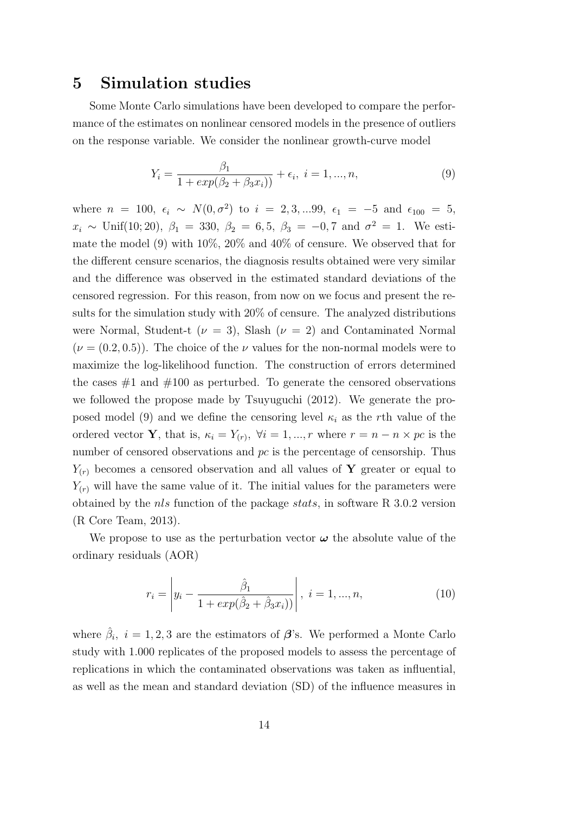### 5 Simulation studies

Some Monte Carlo simulations have been developed to compare the performance of the estimates on nonlinear censored models in the presence of outliers on the response variable. We consider the nonlinear growth-curve model

$$
Y_i = \frac{\beta_1}{1 + exp(\beta_2 + \beta_3 x_i))} + \epsilon_i, \ i = 1, ..., n,
$$
\n(9)

where  $n = 100, \epsilon_i \sim N(0, \sigma^2)$  to  $i = 2, 3, ...99, \epsilon_1 = -5$  and  $\epsilon_{100} = 5$ ,  $x_i \sim$  Unif(10; 20),  $\beta_1 = 330, \ \beta_2 = 6, 5, \ \beta_3 = -0, 7$  and  $\sigma^2 = 1$ . We estimate the model (9) with 10%, 20% and 40% of censure. We observed that for the different censure scenarios, the diagnosis results obtained were very similar and the difference was observed in the estimated standard deviations of the censored regression. For this reason, from now on we focus and present the results for the simulation study with 20% of censure. The analyzed distributions were Normal, Student-t ( $\nu = 3$ ), Slash ( $\nu = 2$ ) and Contaminated Normal  $(\nu = (0.2, 0.5))$ . The choice of the  $\nu$  values for the non-normal models were to maximize the log-likelihood function. The construction of errors determined the cases  $#1$  and  $#100$  as perturbed. To generate the censored observations we followed the propose made by Tsuyuguchi (2012). We generate the proposed model (9) and we define the censoring level  $\kappa_i$  as the rth value of the ordered vector **Y**, that is,  $\kappa_i = Y_{(r)}$ ,  $\forall i = 1, ..., r$  where  $r = n - n \times pc$  is the number of censored observations and  $pc$  is the percentage of censorship. Thus  $Y_{(r)}$  becomes a censored observation and all values of Y greater or equal to  $Y_{(r)}$  will have the same value of it. The initial values for the parameters were obtained by the nls function of the package stats, in software R 3.0.2 version (R Core Team, 2013).

We propose to use as the perturbation vector  $\omega$  the absolute value of the ordinary residuals (AOR)

$$
r_i = \left| y_i - \frac{\hat{\beta}_1}{1 + exp(\hat{\beta}_2 + \hat{\beta}_3 x_i))} \right|, \ i = 1, ..., n,
$$
\n(10)

where  $\hat{\beta}_i$ ,  $i = 1, 2, 3$  are the estimators of  $\beta$ 's. We performed a Monte Carlo study with 1.000 replicates of the proposed models to assess the percentage of replications in which the contaminated observations was taken as influential, as well as the mean and standard deviation (SD) of the influence measures in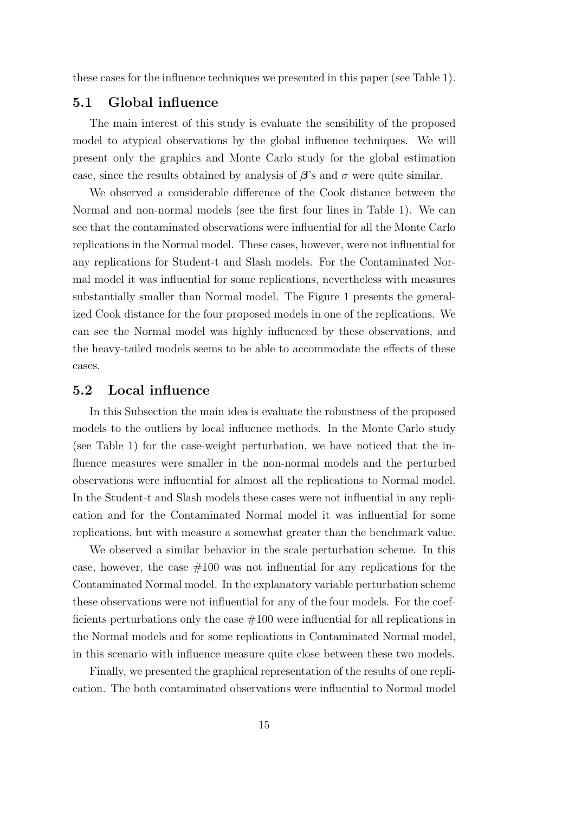these cases for the influence techniques we presented in this paper (see Table 1).

#### 5.1 Global influence

The main interest of this study is evaluate the sensibility of the proposed model to atypical observations by the global influence techniques. We will present only the graphics and Monte Carlo study for the global estimation case, since the results obtained by analysis of  $\beta$ 's and  $\sigma$  were quite similar.

We observed a considerable difference of the Cook distance between the Normal and non-normal models (see the first four lines in Table 1). We can see that the contaminated observations were influential for all the Monte Carlo replications in the Normal model. These cases, however, were not influential for any replications for Student-t and Slash models. For the Contaminated Normal model it was influential for some replications, nevertheless with measures substantially smaller than Normal model. The Figure 1 presents the generalized Cook distance for the four proposed models in one of the replications. We can see the Normal model was highly influenced by these observations, and the heavy-tailed models seems to be able to accommodate the effects of these cases.

#### 5.2 Local influence

In this Subsection the main idea is evaluate the robustness of the proposed models to the outliers by local influence methods. In the Monte Carlo study (see Table 1) for the case-weight perturbation, we have noticed that the influence measures were smaller in the non-normal models and the perturbed observations were influential for almost all the replications to Normal model. In the Student-t and Slash models these cases were not influential in any replication and for the Contaminated Normal model it was influential for some replications, but with measure a somewhat greater than the benchmark value.

We observed a similar behavior in the scale perturbation scheme. In this case, however, the case  $#100$  was not influential for any replications for the Contaminated Normal model. In the explanatory variable perturbation scheme these observations were not influential for any of the four models. For the coefficients perturbations only the case  $\#100$  were influential for all replications in the Normal models and for some replications in Contaminated Normal model, in this scenario with influence measure quite close between these two models.

Finally, we presented the graphical representation of the results of one replication. The both contaminated observations were influential to Normal model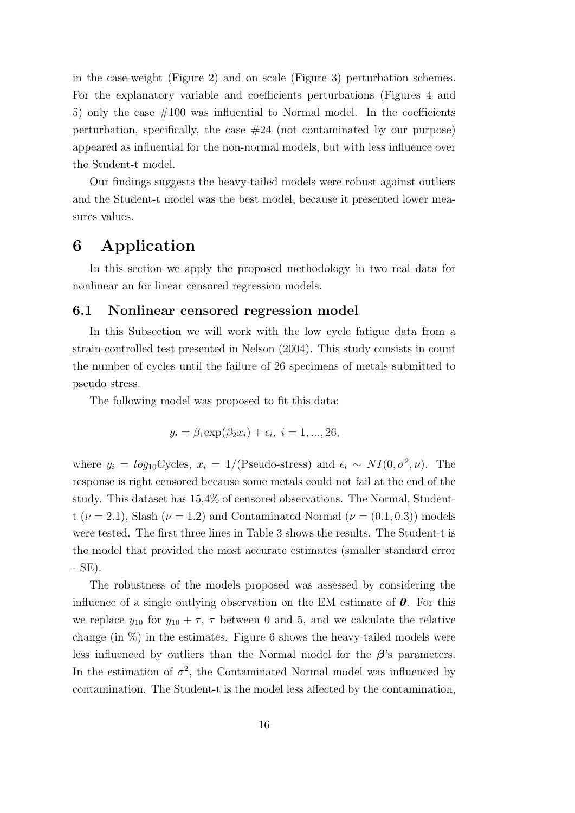in the case-weight (Figure 2) and on scale (Figure 3) perturbation schemes. For the explanatory variable and coefficients perturbations (Figures 4 and 5) only the case  $\#100$  was influential to Normal model. In the coefficients perturbation, specifically, the case  $#24$  (not contaminated by our purpose) appeared as influential for the non-normal models, but with less influence over the Student-t model.

Our findings suggests the heavy-tailed models were robust against outliers and the Student-t model was the best model, because it presented lower measures values.

## 6 Application

In this section we apply the proposed methodology in two real data for nonlinear an for linear censored regression models.

#### 6.1 Nonlinear censored regression model

In this Subsection we will work with the low cycle fatigue data from a strain-controlled test presented in Nelson (2004). This study consists in count the number of cycles until the failure of 26 specimens of metals submitted to pseudo stress.

The following model was proposed to fit this data:

$$
y_i = \beta_1 \exp(\beta_2 x_i) + \epsilon_i, \ i = 1, ..., 26,
$$

where  $y_i = log_{10}Cycles, x_i = 1/(Pseudo-stress)$  and  $\epsilon_i \sim NI(0, \sigma^2, \nu)$ . The response is right censored because some metals could not fail at the end of the study. This dataset has 15,4% of censored observations. The Normal, Studentt ( $\nu = 2.1$ ), Slash ( $\nu = 1.2$ ) and Contaminated Normal ( $\nu = (0.1, 0.3)$ ) models were tested. The first three lines in Table 3 shows the results. The Student-t is the model that provided the most accurate estimates (smaller standard error - SE).

The robustness of the models proposed was assessed by considering the influence of a single outlying observation on the EM estimate of  $\theta$ . For this we replace  $y_{10}$  for  $y_{10} + \tau$ ,  $\tau$  between 0 and 5, and we calculate the relative change (in  $\%$ ) in the estimates. Figure 6 shows the heavy-tailed models were less influenced by outliers than the Normal model for the  $\beta$ 's parameters. In the estimation of  $\sigma^2$ , the Contaminated Normal model was influenced by contamination. The Student-t is the model less affected by the contamination,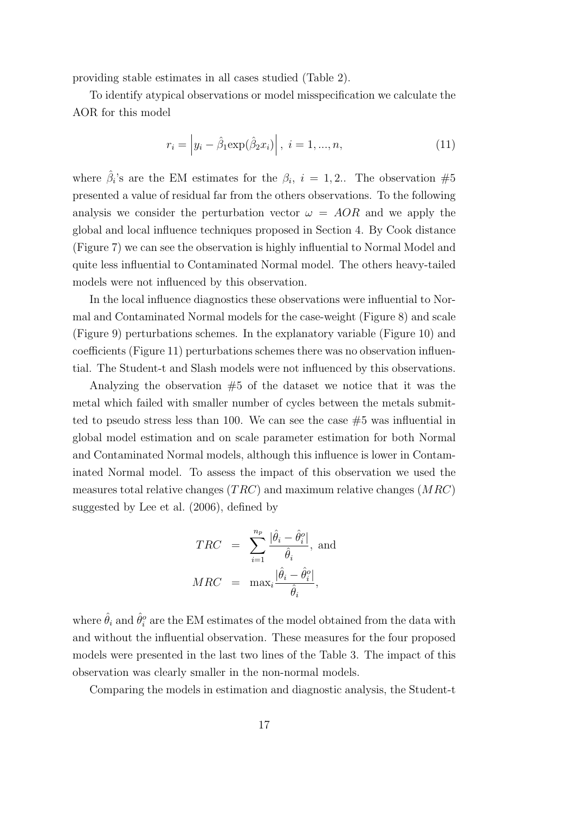providing stable estimates in all cases studied (Table 2).

To identify atypical observations or model misspecification we calculate the AOR for this model

$$
r_i = |y_i - \hat{\beta}_1 \exp(\hat{\beta}_2 x_i)|, \ i = 1, ..., n,
$$
\n(11)

where  $\hat{\beta}_i$ 's are the EM estimates for the  $\beta_i$ ,  $i = 1, 2...$  The observation #5 presented a value of residual far from the others observations. To the following analysis we consider the perturbation vector  $\omega = AOR$  and we apply the global and local influence techniques proposed in Section 4. By Cook distance (Figure 7) we can see the observation is highly influential to Normal Model and quite less influential to Contaminated Normal model. The others heavy-tailed models were not influenced by this observation.

In the local influence diagnostics these observations were influential to Normal and Contaminated Normal models for the case-weight (Figure 8) and scale (Figure 9) perturbations schemes. In the explanatory variable (Figure 10) and coefficients (Figure 11) perturbations schemes there was no observation influential. The Student-t and Slash models were not influenced by this observations.

Analyzing the observation  $#5$  of the dataset we notice that it was the metal which failed with smaller number of cycles between the metals submitted to pseudo stress less than 100. We can see the case  $#5$  was influential in global model estimation and on scale parameter estimation for both Normal and Contaminated Normal models, although this influence is lower in Contaminated Normal model. To assess the impact of this observation we used the measures total relative changes  $(TRC)$  and maximum relative changes  $(MRC)$ suggested by Lee et al. (2006), defined by

$$
TRC = \sum_{i=1}^{n_p} \frac{|\hat{\theta}_i - \hat{\theta}_i^o|}{\hat{\theta}_i}, \text{ and}
$$
  

$$
MRC = \max_i \frac{|\hat{\theta}_i - \hat{\theta}_i^o|}{\hat{\theta}_i},
$$

where  $\hat{\theta}_i$  and  $\hat{\theta}^o_i$  are the EM estimates of the model obtained from the data with and without the influential observation. These measures for the four proposed models were presented in the last two lines of the Table 3. The impact of this observation was clearly smaller in the non-normal models.

Comparing the models in estimation and diagnostic analysis, the Student-t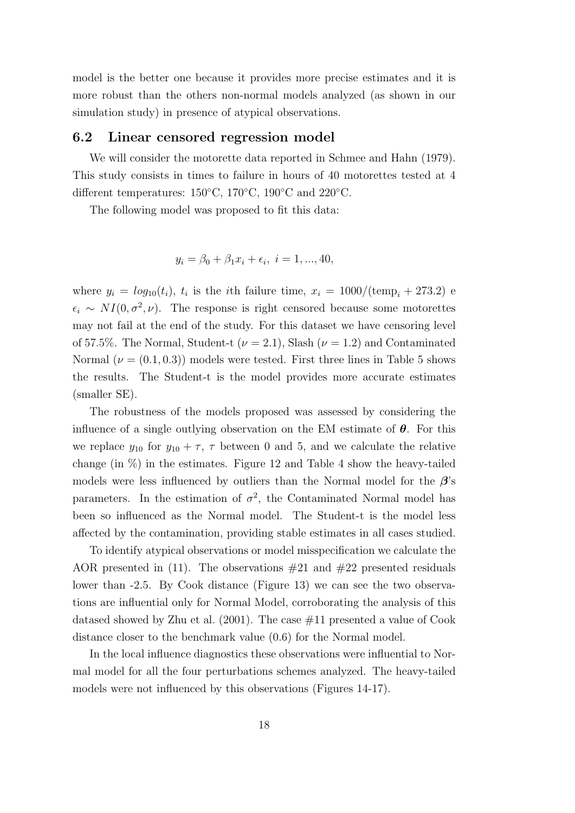model is the better one because it provides more precise estimates and it is more robust than the others non-normal models analyzed (as shown in our simulation study) in presence of atypical observations.

#### 6.2 Linear censored regression model

We will consider the motorette data reported in Schmee and Hahn (1979). This study consists in times to failure in hours of 40 motorettes tested at 4 different temperatures: 150◦C, 170◦C, 190◦C and 220◦C.

The following model was proposed to fit this data:

$$
y_i = \beta_0 + \beta_1 x_i + \epsilon_i, \ i = 1, ..., 40,
$$

where  $y_i = log_{10}(t_i)$ ,  $t_i$  is the *i*th failure time,  $x_i = 1000/(\text{temp}_i + 273.2)$  e  $\epsilon_i \sim NI(0, \sigma^2, \nu)$ . The response is right censored because some motorettes may not fail at the end of the study. For this dataset we have censoring level of 57.5%. The Normal, Student-t ( $\nu = 2.1$ ), Slash ( $\nu = 1.2$ ) and Contaminated Normal  $(\nu = (0.1, 0.3))$  models were tested. First three lines in Table 5 shows the results. The Student-t is the model provides more accurate estimates (smaller SE).

The robustness of the models proposed was assessed by considering the influence of a single outlying observation on the EM estimate of  $\theta$ . For this we replace  $y_{10}$  for  $y_{10} + \tau$ ,  $\tau$  between 0 and 5, and we calculate the relative change (in  $\%$ ) in the estimates. Figure 12 and Table 4 show the heavy-tailed models were less influenced by outliers than the Normal model for the  $\beta$ 's parameters. In the estimation of  $\sigma^2$ , the Contaminated Normal model has been so influenced as the Normal model. The Student-t is the model less affected by the contamination, providing stable estimates in all cases studied.

To identify atypical observations or model misspecification we calculate the AOR presented in (11). The observations  $\#21$  and  $\#22$  presented residuals lower than -2.5. By Cook distance (Figure 13) we can see the two observations are influential only for Normal Model, corroborating the analysis of this datased showed by Zhu et al.  $(2001)$ . The case  $\#11$  presented a value of Cook distance closer to the benchmark value (0.6) for the Normal model.

In the local influence diagnostics these observations were influential to Normal model for all the four perturbations schemes analyzed. The heavy-tailed models were not influenced by this observations (Figures 14-17).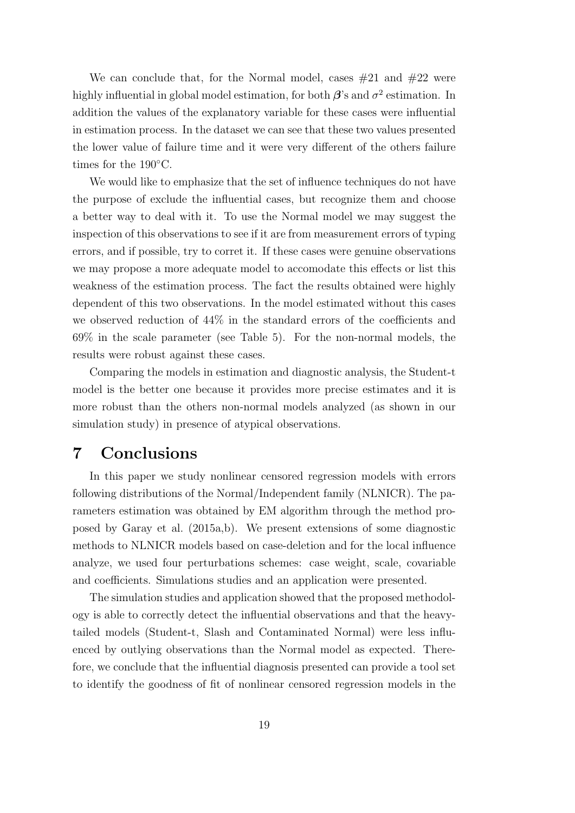We can conclude that, for the Normal model, cases  $#21$  and  $#22$  were highly influential in global model estimation, for both  $\beta$ 's and  $\sigma^2$  estimation. In addition the values of the explanatory variable for these cases were influential in estimation process. In the dataset we can see that these two values presented the lower value of failure time and it were very different of the others failure times for the 190◦C.

We would like to emphasize that the set of influence techniques do not have the purpose of exclude the influential cases, but recognize them and choose a better way to deal with it. To use the Normal model we may suggest the inspection of this observations to see if it are from measurement errors of typing errors, and if possible, try to corret it. If these cases were genuine observations we may propose a more adequate model to accomodate this effects or list this weakness of the estimation process. The fact the results obtained were highly dependent of this two observations. In the model estimated without this cases we observed reduction of 44% in the standard errors of the coefficients and 69% in the scale parameter (see Table 5). For the non-normal models, the results were robust against these cases.

Comparing the models in estimation and diagnostic analysis, the Student-t model is the better one because it provides more precise estimates and it is more robust than the others non-normal models analyzed (as shown in our simulation study) in presence of atypical observations.

### 7 Conclusions

In this paper we study nonlinear censored regression models with errors following distributions of the Normal/Independent family (NLNICR). The parameters estimation was obtained by EM algorithm through the method proposed by Garay et al. (2015a,b). We present extensions of some diagnostic methods to NLNICR models based on case-deletion and for the local influence analyze, we used four perturbations schemes: case weight, scale, covariable and coefficients. Simulations studies and an application were presented.

The simulation studies and application showed that the proposed methodology is able to correctly detect the influential observations and that the heavytailed models (Student-t, Slash and Contaminated Normal) were less influenced by outlying observations than the Normal model as expected. Therefore, we conclude that the influential diagnosis presented can provide a tool set to identify the goodness of fit of nonlinear censored regression models in the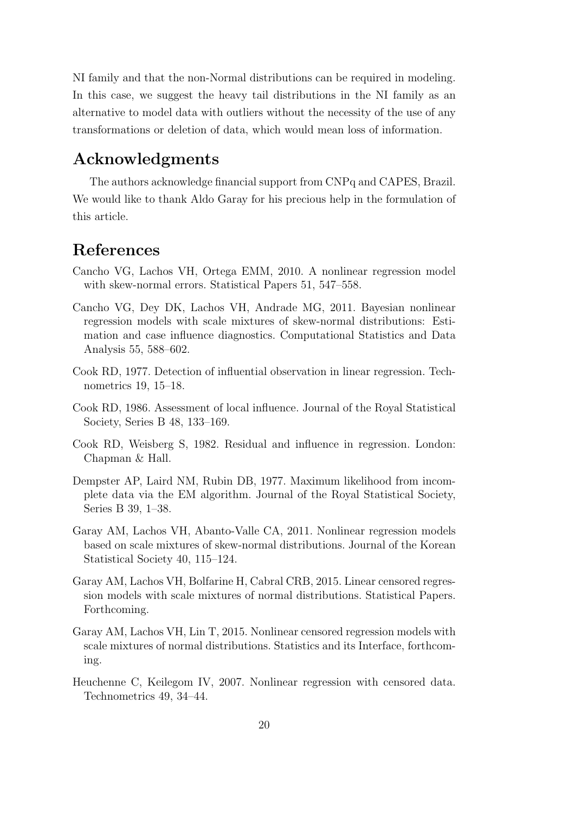NI family and that the non-Normal distributions can be required in modeling. In this case, we suggest the heavy tail distributions in the NI family as an alternative to model data with outliers without the necessity of the use of any transformations or deletion of data, which would mean loss of information.

## Acknowledgments

The authors acknowledge financial support from CNPq and CAPES, Brazil. We would like to thank Aldo Garay for his precious help in the formulation of this article.

## References

- Cancho VG, Lachos VH, Ortega EMM, 2010. A nonlinear regression model with skew-normal errors. Statistical Papers 51, 547–558.
- Cancho VG, Dey DK, Lachos VH, Andrade MG, 2011. Bayesian nonlinear regression models with scale mixtures of skew-normal distributions: Estimation and case influence diagnostics. Computational Statistics and Data Analysis 55, 588–602.
- Cook RD, 1977. Detection of influential observation in linear regression. Technometrics 19, 15–18.
- Cook RD, 1986. Assessment of local influence. Journal of the Royal Statistical Society, Series B 48, 133–169.
- Cook RD, Weisberg S, 1982. Residual and influence in regression. London: Chapman & Hall.
- Dempster AP, Laird NM, Rubin DB, 1977. Maximum likelihood from incomplete data via the EM algorithm. Journal of the Royal Statistical Society, Series B 39, 1–38.
- Garay AM, Lachos VH, Abanto-Valle CA, 2011. Nonlinear regression models based on scale mixtures of skew-normal distributions. Journal of the Korean Statistical Society 40, 115–124.
- Garay AM, Lachos VH, Bolfarine H, Cabral CRB, 2015. Linear censored regression models with scale mixtures of normal distributions. Statistical Papers. Forthcoming.
- Garay AM, Lachos VH, Lin T, 2015. Nonlinear censored regression models with scale mixtures of normal distributions. Statistics and its Interface, forthcoming.
- Heuchenne C, Keilegom IV, 2007. Nonlinear regression with censored data. Technometrics 49, 34–44.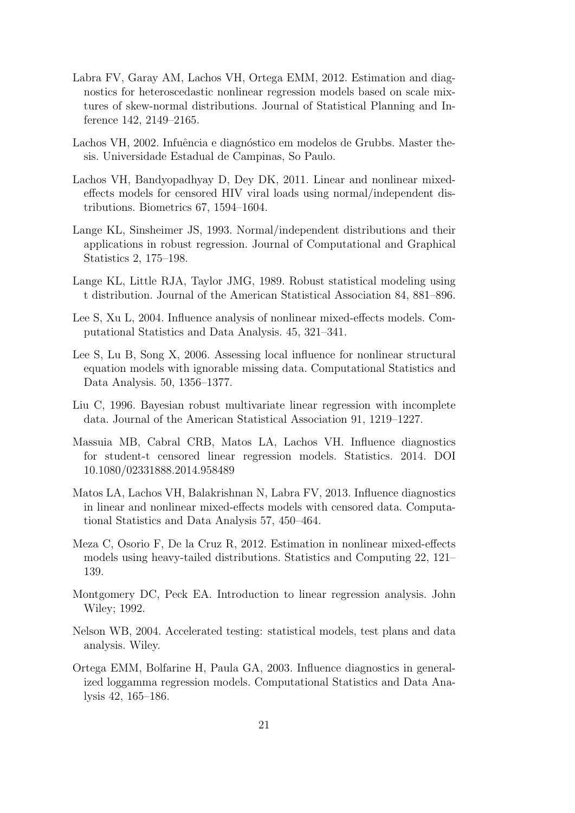- Labra FV, Garay AM, Lachos VH, Ortega EMM, 2012. Estimation and diagnostics for heteroscedastic nonlinear regression models based on scale mixtures of skew-normal distributions. Journal of Statistical Planning and Inference 142, 2149–2165.
- Lachos VH, 2002. Infuência e diagnóstico em modelos de Grubbs. Master thesis. Universidade Estadual de Campinas, So Paulo.
- Lachos VH, Bandyopadhyay D, Dey DK, 2011. Linear and nonlinear mixedeffects models for censored HIV viral loads using normal/independent distributions. Biometrics 67, 1594–1604.
- Lange KL, Sinsheimer JS, 1993. Normal/independent distributions and their applications in robust regression. Journal of Computational and Graphical Statistics 2, 175–198.
- Lange KL, Little RJA, Taylor JMG, 1989. Robust statistical modeling using t distribution. Journal of the American Statistical Association 84, 881–896.
- Lee S, Xu L, 2004. Influence analysis of nonlinear mixed-effects models. Computational Statistics and Data Analysis. 45, 321–341.
- Lee S, Lu B, Song X, 2006. Assessing local influence for nonlinear structural equation models with ignorable missing data. Computational Statistics and Data Analysis. 50, 1356–1377.
- Liu C, 1996. Bayesian robust multivariate linear regression with incomplete data. Journal of the American Statistical Association 91, 1219–1227.
- Massuia MB, Cabral CRB, Matos LA, Lachos VH. Influence diagnostics for student-t censored linear regression models. Statistics. 2014. DOI 10.1080/02331888.2014.958489
- Matos LA, Lachos VH, Balakrishnan N, Labra FV, 2013. Influence diagnostics in linear and nonlinear mixed-effects models with censored data. Computational Statistics and Data Analysis 57, 450–464.
- Meza C, Osorio F, De la Cruz R, 2012. Estimation in nonlinear mixed-effects models using heavy-tailed distributions. Statistics and Computing 22, 121– 139.
- Montgomery DC, Peck EA. Introduction to linear regression analysis. John Wiley; 1992.
- Nelson WB, 2004. Accelerated testing: statistical models, test plans and data analysis. Wiley.
- Ortega EMM, Bolfarine H, Paula GA, 2003. Influence diagnostics in generalized loggamma regression models. Computational Statistics and Data Analysis 42, 165–186.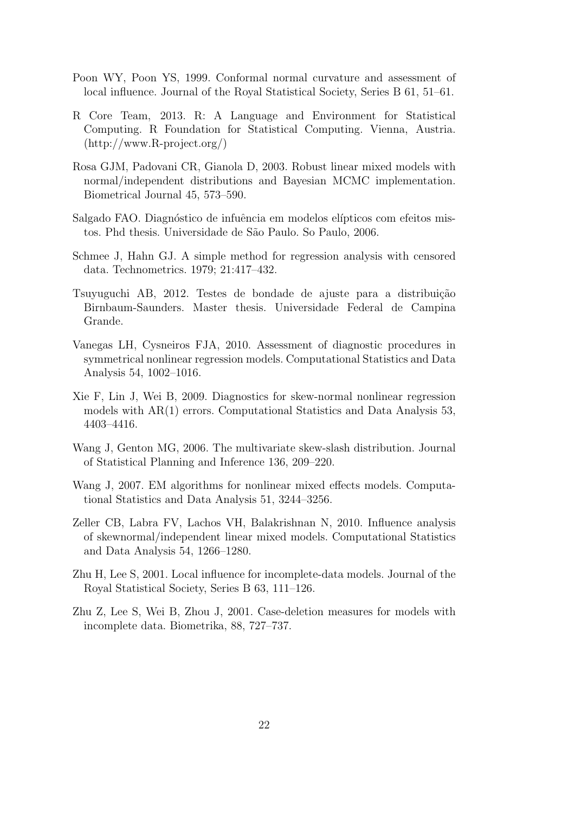- Poon WY, Poon YS, 1999. Conformal normal curvature and assessment of local influence. Journal of the Royal Statistical Society, Series B 61, 51–61.
- R Core Team, 2013. R: A Language and Environment for Statistical Computing. R Foundation for Statistical Computing. Vienna, Austria. (http://www.R-project.org/)
- Rosa GJM, Padovani CR, Gianola D, 2003. Robust linear mixed models with normal/independent distributions and Bayesian MCMC implementation. Biometrical Journal 45, 573–590.
- Salgado FAO. Diagnóstico de infuência em modelos elípticos com efeitos mistos. Phd thesis. Universidade de S˜ao Paulo. So Paulo, 2006.
- Schmee J, Hahn GJ. A simple method for regression analysis with censored data. Technometrics. 1979; 21:417–432.
- Tsuyuguchi AB, 2012. Testes de bondade de ajuste para a distribuição Birnbaum-Saunders. Master thesis. Universidade Federal de Campina Grande.
- Vanegas LH, Cysneiros FJA, 2010. Assessment of diagnostic procedures in symmetrical nonlinear regression models. Computational Statistics and Data Analysis 54, 1002–1016.
- Xie F, Lin J, Wei B, 2009. Diagnostics for skew-normal nonlinear regression models with AR(1) errors. Computational Statistics and Data Analysis 53, 4403–4416.
- Wang J, Genton MG, 2006. The multivariate skew-slash distribution. Journal of Statistical Planning and Inference 136, 209–220.
- Wang J, 2007. EM algorithms for nonlinear mixed effects models. Computational Statistics and Data Analysis 51, 3244–3256.
- Zeller CB, Labra FV, Lachos VH, Balakrishnan N, 2010. Influence analysis of skewnormal/independent linear mixed models. Computational Statistics and Data Analysis 54, 1266–1280.
- Zhu H, Lee S, 2001. Local influence for incomplete-data models. Journal of the Royal Statistical Society, Series B 63, 111–126.
- Zhu Z, Lee S, Wei B, Zhou J, 2001. Case-deletion measures for models with incomplete data. Biometrika, 88, 727–737.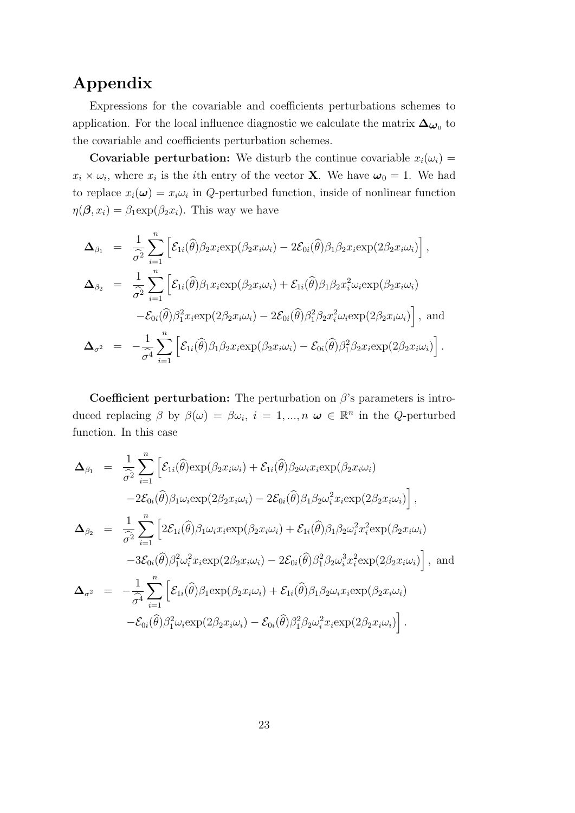## Appendix

Expressions for the covariable and coefficients perturbations schemes to application. For the local influence diagnostic we calculate the matrix  $\Delta_{\boldsymbol{\omega}_0}$  to the covariable and coefficients perturbation schemes.

**Covariable perturbation:** We disturb the continue covariable  $x_i(\omega_i)$  =  $x_i \times \omega_i$ , where  $x_i$  is the *i*th entry of the vector **X**. We have  $\omega_0 = 1$ . We had to replace  $x_i(\boldsymbol{\omega}) = x_i \omega_i$  in Q-perturbed function, inside of nonlinear function  $\eta(\boldsymbol{\beta}, x_i) = \beta_1 \exp(\beta_2 x_i)$ . This way we have

$$
\Delta_{\beta_1} = \frac{1}{\hat{\sigma}^2} \sum_{i=1}^n \left[ \mathcal{E}_{1i}(\hat{\theta}) \beta_2 x_i \exp(\beta_2 x_i \omega_i) - 2 \mathcal{E}_{0i}(\hat{\theta}) \beta_1 \beta_2 x_i \exp(2\beta_2 x_i \omega_i) \right],
$$
  
\n
$$
\Delta_{\beta_2} = \frac{1}{\hat{\sigma}^2} \sum_{i=1}^n \left[ \mathcal{E}_{1i}(\hat{\theta}) \beta_1 x_i \exp(\beta_2 x_i \omega_i) + \mathcal{E}_{1i}(\hat{\theta}) \beta_1 \beta_2 x_i^2 \omega_i \exp(\beta_2 x_i \omega_i) - \mathcal{E}_{0i}(\hat{\theta}) \beta_1^2 x_i \exp(2\beta_2 x_i \omega_i) - 2 \mathcal{E}_{0i}(\hat{\theta}) \beta_1^2 \beta_2 x_i^2 \omega_i \exp(2\beta_2 x_i \omega_i) \right],
$$
 and  
\n
$$
\Delta_{\sigma^2} = -\frac{1}{\hat{\sigma}^4} \sum_{i=1}^n \left[ \mathcal{E}_{1i}(\hat{\theta}) \beta_1 \beta_2 x_i \exp(\beta_2 x_i \omega_i) - \mathcal{E}_{0i}(\hat{\theta}) \beta_1^2 \beta_2 x_i \exp(2\beta_2 x_i \omega_i) \right].
$$

Coefficient perturbation: The perturbation on  $\beta$ 's parameters is introduced replacing  $\beta$  by  $\beta(\omega) = \beta \omega_i$ ,  $i = 1, ..., n$   $\omega \in \mathbb{R}^n$  in the Q-perturbed function. In this case

$$
\Delta_{\beta_1} = \frac{1}{\hat{\sigma}^2} \sum_{i=1}^n \Big[ \mathcal{E}_{1i}(\hat{\theta}) \exp(\beta_2 x_i \omega_i) + \mathcal{E}_{1i}(\hat{\theta}) \beta_2 \omega_i x_i \exp(\beta_2 x_i \omega_i) -2 \mathcal{E}_{0i}(\hat{\theta}) \beta_1 \omega_i \exp(2\beta_2 x_i \omega_i) -2 \mathcal{E}_{0i}(\hat{\theta}) \beta_1 \beta_2 \omega_i^2 x_i \exp(2\beta_2 x_i \omega_i) \Big],
$$
\n
$$
\Delta_{\beta_2} = \frac{1}{\hat{\sigma}^2} \sum_{i=1}^n \Big[ 2 \mathcal{E}_{1i}(\hat{\theta}) \beta_1 \omega_i x_i \exp(\beta_2 x_i \omega_i) + \mathcal{E}_{1i}(\hat{\theta}) \beta_1 \beta_2 \omega_i^2 x_i^2 \exp(\beta_2 x_i \omega_i) -3 \mathcal{E}_{0i}(\hat{\theta}) \beta_1^2 \omega_i^2 x_i \exp(2\beta_2 x_i \omega_i) -2 \mathcal{E}_{0i}(\hat{\theta}) \beta_1^2 \beta_2 \omega_i^3 x_i^2 \exp(2\beta_2 x_i \omega_i) \Big],
$$
 and\n
$$
\Delta_{\sigma^2} = -\frac{1}{\hat{\sigma}^4} \sum_{i=1}^n \Big[ \mathcal{E}_{1i}(\hat{\theta}) \beta_1 \exp(\beta_2 x_i \omega_i) + \mathcal{E}_{1i}(\hat{\theta}) \beta_1 \beta_2 \omega_i x_i \exp(\beta_2 x_i \omega_i) -\mathcal{E}_{0i}(\hat{\theta}) \beta_1^2 \omega_i \exp(2\beta_2 x_i \omega_i) -\mathcal{E}_{0i}(\hat{\theta}) \beta_1^2 \beta_2 \omega_i^2 x_i \exp(2\beta_2 x_i \omega_i) \Big].
$$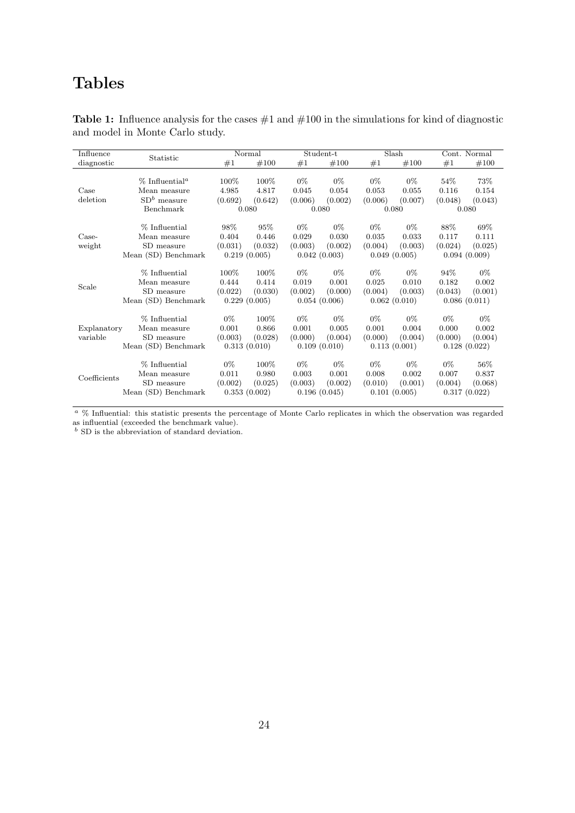## Tables

| Influence               |                                                                          | Normal                                      |                                          | Student-t                 |                                           | Slash                                     |                                           | Cont. Normal               |                                            |
|-------------------------|--------------------------------------------------------------------------|---------------------------------------------|------------------------------------------|---------------------------|-------------------------------------------|-------------------------------------------|-------------------------------------------|----------------------------|--------------------------------------------|
| diagnostic              | Statistic                                                                | #1                                          | #100                                     | #1                        | #100                                      | #1                                        | #100                                      | #1                         | #100                                       |
| Case<br>deletion        | % Influential <sup>a</sup><br>Mean measure<br>$SDb$ measure<br>Benchmark | 100%<br>4.985<br>(0.692)<br>0.080           | 100\%<br>4.817<br>(0.642)                | $0\%$<br>0.045<br>(0.006) | $0\%$<br>0.054<br>(0.002)<br>0.080        | $0\%$<br>0.053<br>(0.006)                 | $0\%$<br>0.055<br>(0.007)<br>0.080        | $54\%$<br>0.116<br>(0.048) | 73%<br>0.154<br>(0.043)<br>0.080           |
| Case-<br>weight         | % Influential<br>Mean measure<br>SD measure<br>Mean (SD) Benchmark       | 98%<br>0.404<br>(0.031)<br>0.219(0.005)     | 95%<br>0.446<br>(0.032)                  | $0\%$<br>0.029<br>(0.003) | $0\%$<br>0.030<br>(0.002)<br>0.042(0.003) | $0\%$<br>0.035<br>(0.004)                 | $0\%$<br>0.033<br>(0.003)<br>0.049(0.005) | 88\%<br>0.117<br>(0.024)   | 69%<br>0.111<br>(0.025)<br>0.094(0.009)    |
| Scale                   | % Influential<br>Mean measure<br>SD measure<br>Mean (SD) Benchmark       | $100\%$<br>0.444<br>(0.022)<br>0.229(0.005) | 100%<br>0.414<br>(0.030)                 | $0\%$<br>0.019<br>(0.002) | $0\%$<br>0.001<br>(0.000)<br>0.054(0.006) | $0\%$<br>0.025<br>(0.004)                 | $0\%$<br>0.010<br>(0.003)<br>0.062(0.010) | 94%<br>0.182<br>(0.043)    | $0\%$<br>0.002<br>(0.001)<br>0.086(0.011)  |
| Explanatory<br>variable | % Influential<br>Mean measure<br>SD measure<br>Mean (SD) Benchmark       | $0\%$<br>0.001<br>(0.003)                   | 100%<br>0.866<br>(0.028)<br>0.313(0.010) | $0\%$<br>0.001<br>(0.000) | $0\%$<br>0.005<br>(0.004)<br>0.109(0.010) | $0\%$<br>0.001<br>(0.000)                 | $0\%$<br>0.004<br>(0.004)<br>0.113(0.001) | $0\%$<br>0.000<br>(0.000)  | $0\%$<br>0.002<br>(0.004)<br>0.128(0.022)  |
| Coefficients            | % Influential<br>Mean measure<br>SD measure<br>Mean (SD) Benchmark       | $0\%$<br>0.011<br>(0.002)<br>0.353(0.002)   | 100%<br>0.980<br>(0.025)                 | $0\%$<br>0.003<br>(0.003) | $0\%$<br>0.001<br>(0.002)<br>0.196(0.045) | $0\%$<br>0.008<br>(0.010)<br>0.101(0.005) | $0\%$<br>0.002<br>(0.001)                 | $0\%$<br>0.007<br>(0.004)  | $56\%$<br>0.837<br>(0.068)<br>0.317(0.022) |

**Table 1:** Influence analysis for the cases  $\#1$  and  $\#100$  in the simulations for kind of diagnostic and model in Monte Carlo study.

 $a \,$ % Influential: this statistic presents the percentage of Monte Carlo replicates in which the observation was regarded as influential (exceeded the benchmark value).

 $<sup>b</sup>$  SD is the abbreviation of standard deviation.</sup>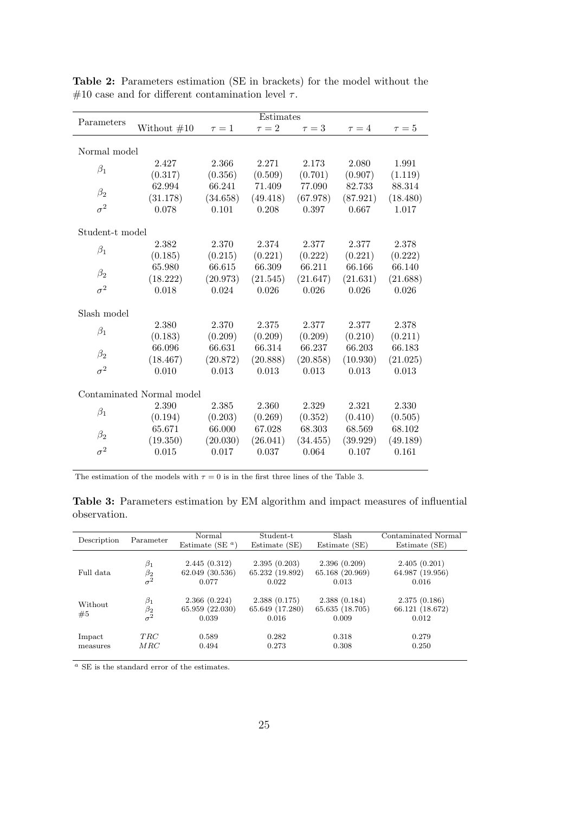|                           | Estimates     |          |            |          |            |            |  |  |
|---------------------------|---------------|----------|------------|----------|------------|------------|--|--|
| Parameters                | Without $#10$ | $\tau=1$ | $\tau = 2$ | $\tau=3$ | $\tau = 4$ | $\tau = 5$ |  |  |
|                           |               |          |            |          |            |            |  |  |
| Normal model              |               |          |            |          |            |            |  |  |
| $\beta_1$                 | 2.427         | 2.366    | 2.271      | 2.173    | 2.080      | 1.991      |  |  |
|                           | (0.317)       | (0.356)  | (0.509)    | (0.701)  | (0.907)    | (1.119)    |  |  |
| $\beta_2$                 | 62.994        | 66.241   | 71.409     | 77.090   | 82.733     | 88.314     |  |  |
|                           | (31.178)      | (34.658) | (49.418)   | (67.978) | (87.921)   | (18.480)   |  |  |
| $\sigma^2$                | 0.078         | 0.101    | 0.208      | 0.397    | 0.667      | 1.017      |  |  |
| Student-t model           |               |          |            |          |            |            |  |  |
|                           |               |          |            |          |            |            |  |  |
| $\beta_1$                 | 2.382         | 2.370    | 2.374      | 2.377    | 2.377      | 2.378      |  |  |
|                           | (0.185)       | (0.215)  | (0.221)    | (0.222)  | (0.221)    | (0.222)    |  |  |
| $\beta_2$                 | 65.980        | 66.615   | 66.309     | 66.211   | 66.166     | 66.140     |  |  |
|                           | (18.222)      | (20.973) | (21.545)   | (21.647) | (21.631)   | (21.688)   |  |  |
| $\sigma^2$                | 0.018         | 0.024    | 0.026      | 0.026    | 0.026      | 0.026      |  |  |
| Slash model               |               |          |            |          |            |            |  |  |
|                           | 2.380         | 2.370    | 2.375      | 2.377    | 2.377      | 2.378      |  |  |
| $\beta_1$                 | (0.183)       | (0.209)  | (0.209)    | (0.209)  | (0.210)    | (0.211)    |  |  |
|                           | 66.096        | 66.631   | 66.314     | 66.237   | 66.203     | 66.183     |  |  |
| $\beta_2$                 | (18.467)      | (20.872) | (20.888)   | (20.858) | (10.930)   | (21.025)   |  |  |
| $\sigma^2$                | 0.010         | 0.013    | 0.013      | 0.013    | 0.013      | 0.013      |  |  |
|                           |               |          |            |          |            |            |  |  |
| Contaminated Normal model |               |          |            |          |            |            |  |  |
| $\beta_1$                 | 2.390         | 2.385    | 2.360      | 2.329    | 2.321      | 2.330      |  |  |
|                           | (0.194)       | (0.203)  | (0.269)    | (0.352)  | (0.410)    | (0.505)    |  |  |
| $\beta_2$                 | 65.671        | 66.000   | 67.028     | 68.303   | 68.569     | 68.102     |  |  |
|                           | (19.350)      | (20.030) | (26.041)   | (34.455) | (39.929)   | (49.189)   |  |  |
| $\sigma^2$                | 0.015         | 0.017    | 0.037      | 0.064    | 0.107      | 0.161      |  |  |

Table 2: Parameters estimation (SE in brackets) for the model without the  $\#10$  case and for different contamination level  $\tau$ .

The estimation of the models with  $\tau=0$  is in the first three lines of the Table 3.

Table 3: Parameters estimation by EM algorithm and impact measures of influential observation.

| Description   | Parameter                            | Normal<br>Estimate (SE $a)$              | Student-t<br>Estimate (SE)               | Slash<br>Estimate (SE)                   | Contaminated Normal<br>Estimate (SE)     |
|---------------|--------------------------------------|------------------------------------------|------------------------------------------|------------------------------------------|------------------------------------------|
| Full data     | $\beta_1$                            | 2.445(0.312)                             | 2.395(0.203)                             | 2.396(0.209)                             | 2.405(0.201)                             |
|               | $\beta_2$                            | 62.049 (30.536)                          | 65.232 (19.892)                          | 65.168 (20.969)                          | 64.987 (19.956)                          |
|               | $\sigma^2$                           | 0.077                                    | 0.022                                    | 0.013                                    | 0.016                                    |
| Without<br>#5 | $\beta_1$<br>$\beta_2$<br>$\sigma^2$ | 2.366(0.224)<br>65.959 (22.030)<br>0.039 | 2.388(0.175)<br>65.649 (17.280)<br>0.016 | 2.388(0.184)<br>65.635 (18.705)<br>0.009 | 2.375(0.186)<br>66.121 (18.672)<br>0.012 |
| Impact        | TRC                                  | 0.589                                    | 0.282                                    | 0.318                                    | 0.279                                    |
| measures      | MRC                                  | 0.494                                    | 0.273                                    | 0.308                                    | 0.250                                    |

 $a$  SE is the standard error of the estimates.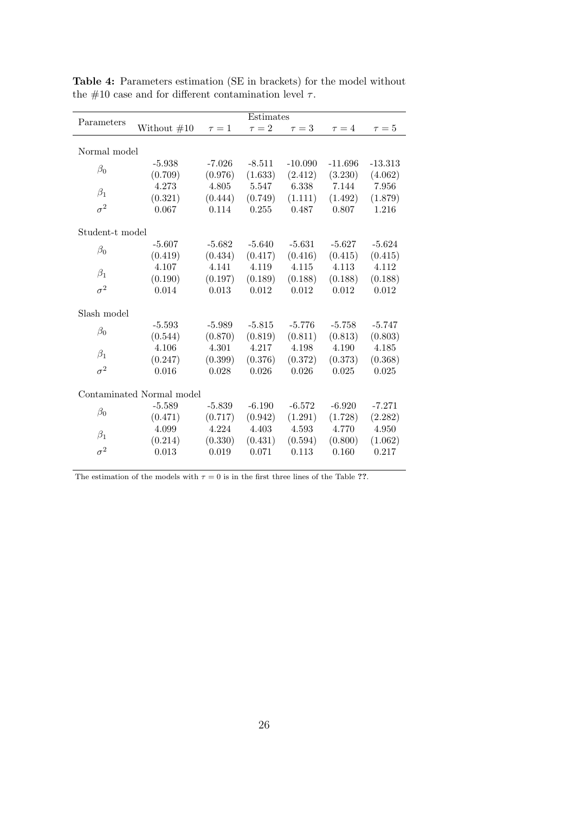|                           | Estimates     |            |            |            |            |            |  |  |
|---------------------------|---------------|------------|------------|------------|------------|------------|--|--|
| Parameters                | Without $#10$ | $\tau = 1$ | $\tau = 2$ | $\tau = 3$ | $\tau = 4$ | $\tau = 5$ |  |  |
|                           |               |            |            |            |            |            |  |  |
| Normal model              |               |            |            |            |            |            |  |  |
| $\beta_0$                 | $-5.938$      | $-7.026$   | $-8.511$   | $-10.090$  | $-11.696$  | $-13.313$  |  |  |
|                           | (0.709)       | (0.976)    | (1.633)    | (2.412)    | (3.230)    | (4.062)    |  |  |
| $\beta_1$                 | 4.273         | 4.805      | 5.547      | 6.338      | 7.144      | 7.956      |  |  |
|                           | (0.321)       | (0.444)    | (0.749)    | (1.111)    | (1.492)    | (1.879)    |  |  |
| $\sigma^2$                | 0.067         | 0.114      | 0.255      | 0.487      | 0.807      | 1.216      |  |  |
| Student-t model           |               |            |            |            |            |            |  |  |
|                           | $-5.607$      | $-5.682$   | $-5.640$   | $-5.631$   | $-5.627$   | $-5.624$   |  |  |
| $\beta_0$                 | (0.419)       | (0.434)    | (0.417)    | (0.416)    | (0.415)    | (0.415)    |  |  |
|                           | 4.107         | 4.141      | 4.119      | 4.115      | 4.113      | 4.112      |  |  |
| $\beta_1$                 | (0.190)       | (0.197)    | (0.189)    | (0.188)    | (0.188)    | (0.188)    |  |  |
| $\sigma^2$                | 0.014         | 0.013      | 0.012      | 0.012      | 0.012      | 0.012      |  |  |
|                           |               |            |            |            |            |            |  |  |
| Slash model               |               |            |            |            |            |            |  |  |
|                           | $-5.593$      | $-5.989$   | $-5.815$   | $-5.776$   | $-5.758$   | $-5.747$   |  |  |
| $\beta_0$                 | (0.544)       | (0.870)    | (0.819)    | (0.811)    | (0.813)    | (0.803)    |  |  |
|                           | 4.106         | 4.301      | 4.217      | 4.198      | 4.190      | 4.185      |  |  |
| $\beta_1$                 | (0.247)       | (0.399)    | (0.376)    | (0.372)    | (0.373)    | (0.368)    |  |  |
| $\sigma^2$                | 0.016         | 0.028      | 0.026      | 0.026      | 0.025      | 0.025      |  |  |
|                           |               |            |            |            |            |            |  |  |
| Contaminated Normal model |               |            |            |            |            |            |  |  |
| $\beta_0$                 | $-5.589$      | $-5.839$   | $-6.190$   | $-6.572$   | $-6.920$   | $-7.271$   |  |  |
|                           | (0.471)       | (0.717)    | (0.942)    | (1.291)    | (1.728)    | (2.282)    |  |  |
| $\beta_1$                 | 4.099         | 4.224      | 4.403      | 4.593      | 4.770      | 4.950      |  |  |
|                           | (0.214)       | (0.330)    | (0.431)    | (0.594)    | (0.800)    | (1.062)    |  |  |
| $\sigma^2$                | 0.013         | 0.019      | 0.071      | 0.113      | 0.160      | 0.217      |  |  |
|                           |               |            |            |            |            |            |  |  |

Table 4: Parameters estimation (SE in brackets) for the model without the #10 case and for different contamination level  $\tau$ .

The estimation of the models with  $\tau = 0$  is in the first three lines of the Table ??.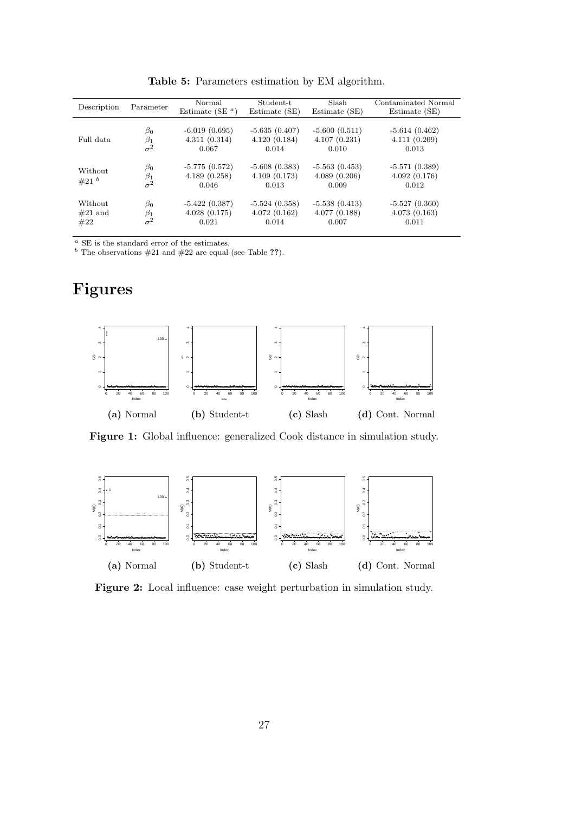| Description                 | Parameter                            | Normal<br>Estimate (SE $a$ )             | Student-t<br>Estimate (SE)               | Slash<br>Estimate (SE)                   | Contaminated Normal<br>Estimate (SE)     |
|-----------------------------|--------------------------------------|------------------------------------------|------------------------------------------|------------------------------------------|------------------------------------------|
| Full data                   | $\beta_0$                            | $-6.019(0.695)$                          | $-5.635(0.407)$                          | $-5.600(0.511)$                          | $-5.614(0.462)$                          |
|                             | $\beta_1$                            | 4.311(0.314)                             | 4.120(0.184)                             | 4.107(0.231)                             | 4.111(0.209)                             |
|                             | $\sigma^2$                           | 0.067                                    | 0.014                                    | 0.010                                    | 0.013                                    |
| Without<br>#21 <sup>b</sup> | $\beta_0$<br>$\beta_1$<br>$\sigma^2$ | $-5.775(0.572)$<br>4.189(0.258)<br>0.046 | $-5.608(0.383)$<br>4.109(0.173)<br>0.013 | $-5.563(0.453)$<br>4.089(0.206)<br>0.009 | $-5.571(0.389)$<br>4.092(0.176)<br>0.012 |
| Without                     | $\beta_0$                            | $-5.422(0.387)$                          | $-5.524(0.358)$                          | $-5.538(0.413)$                          | $-5.527(0.360)$                          |
| $#21$ and                   | $\beta_1$                            | 4.028(0.175)                             | 4.072(0.162)                             | 4.077(0.188)                             | 4.073(0.163)                             |
| #22                         | $\sigma^2$                           | 0.021                                    | 0.014                                    | 0.007                                    | 0.011                                    |

Table 5: Parameters estimation by EM algorithm.

 $^a$  SE is the standard error of the estimates.

<sup>b</sup> The observations  $#21$  and  $#22$  are equal (see Table ??).

## Figures



Figure 1: Global influence: generalized Cook distance in simulation study.



Figure 2: Local influence: case weight perturbation in simulation study.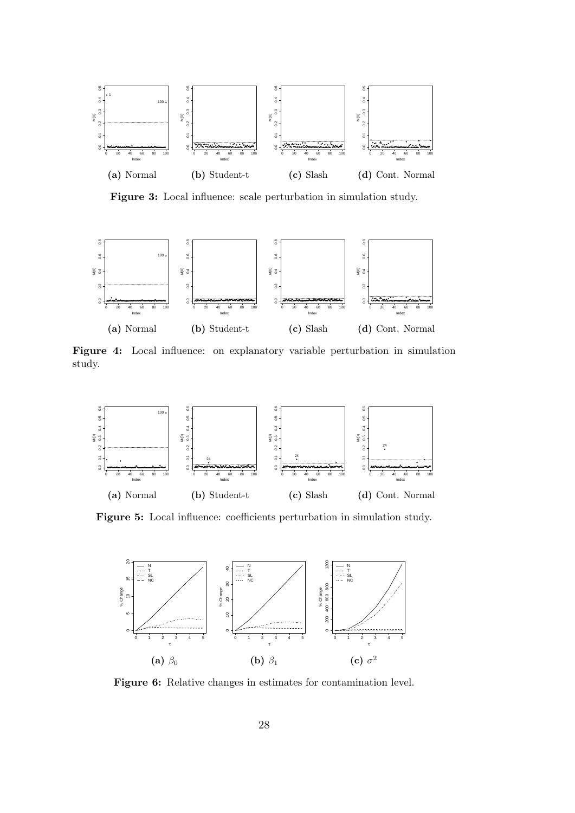

Figure 3: Local influence: scale perturbation in simulation study.



Figure 4: Local influence: on explanatory variable perturbation in simulation study.



Figure 5: Local influence: coefficients perturbation in simulation study.



Figure 6: Relative changes in estimates for contamination level.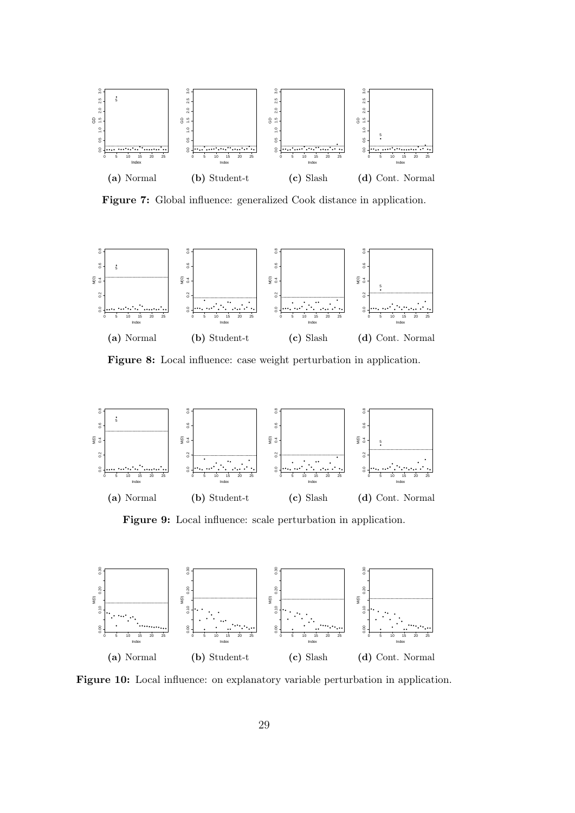

Figure 7: Global influence: generalized Cook distance in application.



Figure 8: Local influence: case weight perturbation in application.



Figure 9: Local influence: scale perturbation in application.



Figure 10: Local influence: on explanatory variable perturbation in application.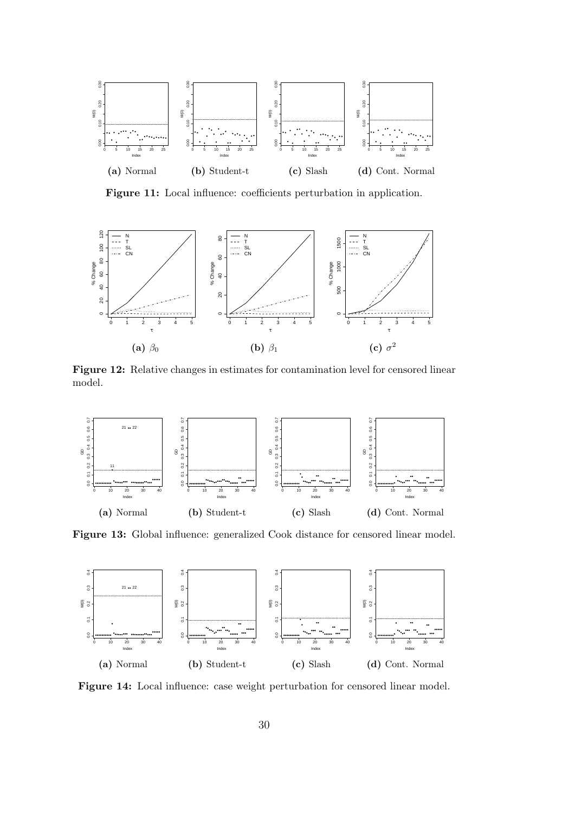

Figure 11: Local influence: coefficients perturbation in application.



Figure 12: Relative changes in estimates for contamination level for censored linear model.



Figure 13: Global influence: generalized Cook distance for censored linear model.



Figure 14: Local influence: case weight perturbation for censored linear model.